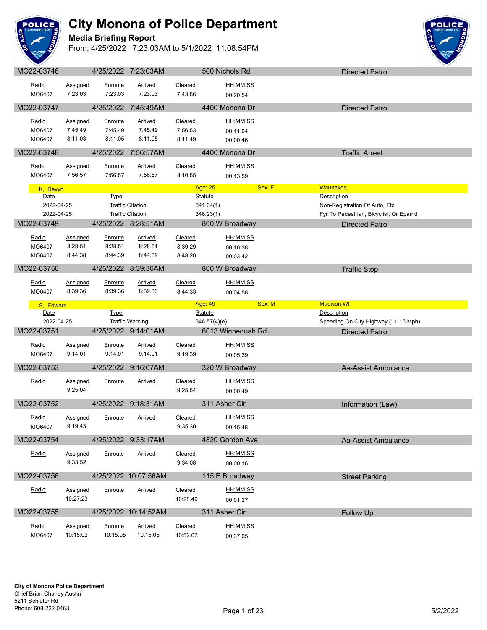

#### **Media Briefing Report**



| Radio<br>MO6407   | <b>Assigned</b><br>7:23:03 | Enroute<br>7:23.03 | Arrived<br>7:23.03        | Cleared<br>7:43.56 | HH:MM:SS<br>00:20:54 |                                        |
|-------------------|----------------------------|--------------------|---------------------------|--------------------|----------------------|----------------------------------------|
| MO22-03747        |                            |                    | 4/25/2022 7:45:49AM       |                    | 4400 Monona Dr       | <b>Directed Patrol</b>                 |
|                   |                            |                    |                           |                    |                      |                                        |
| Radio             | Assigned<br>7:45:49        | Enroute<br>7:45.49 | <b>Arrived</b><br>7:45.49 | Cleared<br>7:56.53 | HH:MM:SS             |                                        |
| MO6407<br>MO6407  | 8:11:03                    | 8:11.05            | 8:11.05                   | 8:11.49            | 00:11:04<br>00:00:46 |                                        |
|                   |                            |                    |                           |                    |                      |                                        |
| MO22-03748        |                            |                    | 4/25/2022 7:56:57AM       |                    | 4400 Monona Dr       | <b>Traffic Arrest</b>                  |
| Radio             | <b>Assigned</b>            | Enroute            | <b>Arrived</b>            | Cleared            | HH:MM:SS             |                                        |
| MO6407            | 7:56:57                    | 7:56.57            | 7:56.57                   | 8:10.55            | 00:13:59             |                                        |
| K, Devyn          |                            |                    |                           |                    | Age: 25              | Sex: F<br>Waunakee,                    |
| Date              |                            | <b>Type</b>        |                           |                    | <b>Statute</b>       | Description                            |
| 2022-04-25        |                            |                    | <b>Traffic Citation</b>   |                    | 341.04(1)            | Non-Registration Of Auto, Etc.         |
| 2022-04-25        |                            |                    | <b>Traffic Citation</b>   |                    | 346.23(1)            | Fyr To Pedestrian, Bicyclist, Or Epamd |
| MO22-03749        |                            |                    | 4/25/2022 8:28:51AM       |                    | 800 W Broadway       | <b>Directed Patrol</b>                 |
| Radio             | <b>Assigned</b>            | Enroute            | <b>Arrived</b>            | Cleared            | HH:MM:SS             |                                        |
| MO6407            | 8:28:51                    | 8:28.51            | 8:28.51                   | 8:39.29            | 00:10:38             |                                        |
| MO6407            | 8:44:38                    | 8:44.39            | 8:44.39                   | 8:48.20            | 00:03:42             |                                        |
| MO22-03750        |                            |                    | 4/25/2022 8:39:36AM       |                    | 800 W Broadway       | <b>Traffic Stop</b>                    |
| Radio             | Assigned                   | Enroute            | Arrived                   | Cleared            | HH:MM:SS             |                                        |
| MO6407            | 8:39:36                    | 8:39.36            | 8:39.36                   | 8:44.33            | 00:04:58             |                                        |
|                   |                            |                    |                           |                    |                      |                                        |
| S. Edward<br>Date |                            |                    |                           |                    | Age: 49              | Sex: M<br><b>Madison, WI</b>           |
|                   |                            |                    |                           |                    |                      |                                        |
|                   |                            | <b>Type</b>        |                           |                    | <b>Statute</b>       | <b>Description</b>                     |
| 2022-04-25        |                            |                    | <b>Traffic Warning</b>    |                    | 346.57(4)(e)         | Speeding On City Highway (11-15 Mph)   |
| MO22-03751        |                            |                    | 4/25/2022 9:14:01AM       |                    | 6013 Winnequah Rd    | <b>Directed Patrol</b>                 |
| Radio             | Assigned                   | Enroute            | <b>Arrived</b>            | Cleared            | HH:MM:SS             |                                        |
| MO6407            | 9:14:01                    | 9:14.01            | 9:14.01                   | 9:19.39            | 00:05:39             |                                        |
| MO22-03753        |                            |                    | 4/25/2022 9:16:07AM       |                    | 320 W Broadway       | Aa-Assist Ambulance                    |
| Radio             | <b>Assigned</b>            | <u>Enroute</u>     | <b>Arrived</b>            | Cleared            | HH:MM:SS             |                                        |
|                   | 9:25:04                    |                    |                           | 9:25.54            | 00:00:49             |                                        |
|                   |                            |                    |                           |                    |                      |                                        |
| MO22-03752        |                            |                    | 4/25/2022 9:18:31AM       |                    | 311 Asher Cir        | Information (Law)                      |
| Radio             | <b>Assigned</b>            | Enroute            | <b>Arrived</b>            | Cleared            | HH:MM:SS             |                                        |
| MO6407            | 9:19:43                    |                    |                           | 9:35.30            | 00:15:48             |                                        |
| MO22-03754        |                            |                    | 4/25/2022 9:33:17AM       |                    | 4820 Gordon Ave      | Aa-Assist Ambulance                    |
| Radio             | Assigned                   | Enroute            | <b>Arrived</b>            | Cleared            | HH:MM:SS             |                                        |
|                   | 9:33:52                    |                    |                           | 9:34.08            | 00:00:16             |                                        |
| MO22-03756        |                            |                    | 4/25/2022 10:07:56AM      |                    |                      |                                        |
|                   |                            |                    |                           |                    | 115 E Broadway       | <b>Street Parking</b>                  |
| Radio             | Assigned                   | Enroute            | <b>Arrived</b>            | Cleared            | HH:MM:SS             |                                        |
|                   | 10:27:23                   |                    |                           | 10:28.49           | 00:01:27             |                                        |
| MO22-03755        |                            |                    | 4/25/2022 10:14:52AM      |                    | 311 Asher Cir        | Follow Up                              |
| Radio             | <b>Assigned</b>            | Enroute            | <b>Arrived</b>            | Cleared            | HH:MM:SS             |                                        |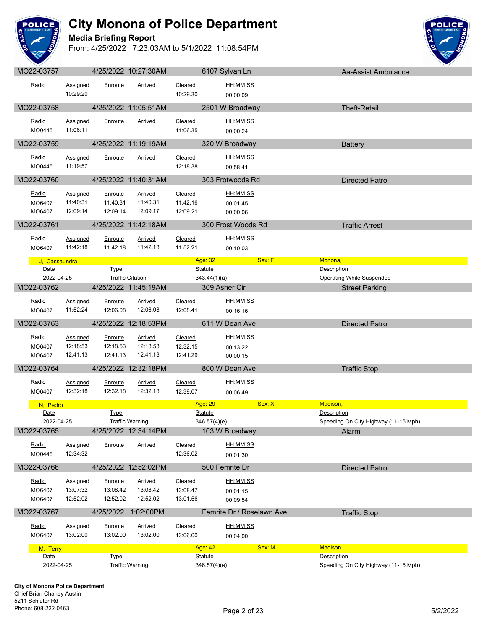

### **Media Briefing Report**



| $IVIOZZ-UUIUI$            |                                         |                                 | <b>HILULL IV.LI.UULIVI</b>             |                                 |                                | <b>UTUL OVIVALLELL</b>           |             | <b>Ad-ASSIST ATHULLATICE</b>         |
|---------------------------|-----------------------------------------|---------------------------------|----------------------------------------|---------------------------------|--------------------------------|----------------------------------|-------------|--------------------------------------|
| Radio                     | <b>Assigned</b><br>10:29:20             | Enroute                         | Arrived                                | Cleared<br>10:29.30             |                                | HH:MM:SS<br>00:00:09             |             |                                      |
| MO22-03758                |                                         |                                 | 4/25/2022 11:05:51AM                   |                                 |                                | 2501 W Broadway                  |             | <b>Theft-Retail</b>                  |
| Radio<br>MO0445           | Assigned<br>11:06:11                    | Enroute                         | <b>Arrived</b>                         | Cleared<br>11:06.35             |                                | HH:MM:SS<br>00:00:24             |             |                                      |
| MO22-03759                | <u>a sa sa</u>                          |                                 | 4/25/2022 11:19:19AM                   |                                 |                                | 320 W Broadway                   |             | <b>Battery</b>                       |
| Radio<br>MO0445           | Assigned<br>11:19:57                    | Enroute                         | Arrived                                | Cleared<br>12:18.38             |                                | HH:MM:SS<br>00:58:41             |             |                                      |
| MO22-03760                |                                         |                                 | 4/25/2022 11:40:31AM                   |                                 |                                | 303 Frotwoods Rd                 |             | <b>Directed Patrol</b>               |
| Radio<br>MO6407<br>MO6407 | <b>Assigned</b><br>11:40:31<br>12:09:14 | Enroute<br>11:40.31<br>12:09.14 | Arrived<br>11:40.31<br>12:09.17        | Cleared<br>11:42.16<br>12:09.21 |                                | HH:MM:SS<br>00:01:45<br>00:00:06 |             |                                      |
| MO22-03761                |                                         |                                 | 4/25/2022 11:42:18AM                   |                                 |                                | 300 Frost Woods Rd               |             | <b>Traffic Arrest</b>                |
| Radio<br>MO6407           | Assigned<br>11:42:18                    | Enroute<br>11:42.18             | Arrived<br>11:42.18                    | Cleared<br>11:52.21             |                                | HH:MM:SS<br>00:10:03             |             |                                      |
| J, Cassaundra             |                                         |                                 |                                        |                                 | Age: 32                        | Sex: F                           | Monona,     |                                      |
| Date<br>2022-04-25        |                                         | Type                            | <b>Traffic Citation</b>                |                                 | <b>Statute</b><br>343.44(1)(a) |                                  | Description | <b>Operating While Suspended</b>     |
| MO22-03762                |                                         |                                 | 4/25/2022 11:45:19AM                   |                                 | 309 Asher Cir                  |                                  |             | <b>Street Parking</b>                |
| <u>Radio</u><br>MO6407    | <b>Assigned</b><br>11:52:24             | Enroute<br>12:06.08             | <b>Arrived</b><br>12:06.08             | Cleared<br>12:08.41             |                                | <u>HH:MM:SS</u><br>00:16:16      |             |                                      |
| MO22-03763                |                                         |                                 | 4/25/2022 12:18:53PM                   |                                 |                                | 611 W Dean Ave                   |             | <b>Directed Patrol</b>               |
| Radio<br>MO6407<br>MO6407 | Assigned<br>12:18:53<br>12:41:13        | Enroute<br>12:18.53<br>12:41.13 | <b>Arrived</b><br>12:18.53<br>12:41.18 | Cleared<br>12:32.15<br>12:41.29 |                                | HH:MM:SS<br>00:13:22<br>00:00:15 |             |                                      |
| MO22-03764                |                                         |                                 | 4/25/2022 12:32:18PM                   |                                 |                                | 800 W Dean Ave                   |             | <b>Traffic Stop</b>                  |
| Radio<br>MO6407           | <b>Assigned</b><br>12:32:18             | Enroute<br>12:32.18             | Arrived<br>12:32.18                    | Cleared<br>12:39.07             |                                | HH:MM:SS<br>00:06:49             |             |                                      |
| N, Pedro                  |                                         |                                 |                                        |                                 | Age: 29                        | Sex: X                           | Madison,    |                                      |
| Date<br>2022-04-25        |                                         | Type                            | <b>Traffic Warning</b>                 |                                 | <b>Statute</b><br>346.57(4)(e) |                                  | Description | Speeding On City Highway (11-15 Mph) |
| MO22-03765                |                                         |                                 | 4/25/2022 12:34:14PM                   |                                 |                                | 103 W Broadway                   |             | Alarm                                |
| Radio<br>MO0445           | Assigned<br>12:34:32                    | Enroute                         | Arrived                                | Cleared<br>12:36.02             |                                | HH:MM:SS<br>00:01:30             |             |                                      |
| MO22-03766                |                                         |                                 | 4/25/2022 12:52:02PM                   |                                 |                                | 500 Femrite Dr                   |             | <b>Directed Patrol</b>               |
| Radio<br>MO6407<br>MO6407 | Assigned<br>13:07:32<br>12:52:02        | Enroute<br>13:08.42<br>12:52.02 | <b>Arrived</b><br>13:08.42<br>12:52.02 | Cleared<br>13:08.47<br>13:01.56 |                                | HH:MM:SS<br>00:01:15<br>00:09:54 |             |                                      |
| MO22-03767                |                                         |                                 | 4/25/2022 1:02:00PM                    |                                 |                                | Femrite Dr / Roselawn Ave        |             | <b>Traffic Stop</b>                  |
| Radio<br>MO6407           | <b>Assigned</b><br>13:02:00             | Enroute<br>13:02.00             | Arrived<br>13:02.00                    | Cleared<br>13:06.00             |                                | HH:MM:SS<br>00:04:00             |             |                                      |
| M, Terry                  |                                         |                                 |                                        |                                 | Age: 42                        | Sex: M                           | Madison,    |                                      |
| Date<br>2022-04-25        |                                         | <b>Type</b>                     | <b>Traffic Warning</b>                 |                                 | Statute<br>346.57(4)(e)        |                                  | Description | Speeding On City Highway (11-15 Mph) |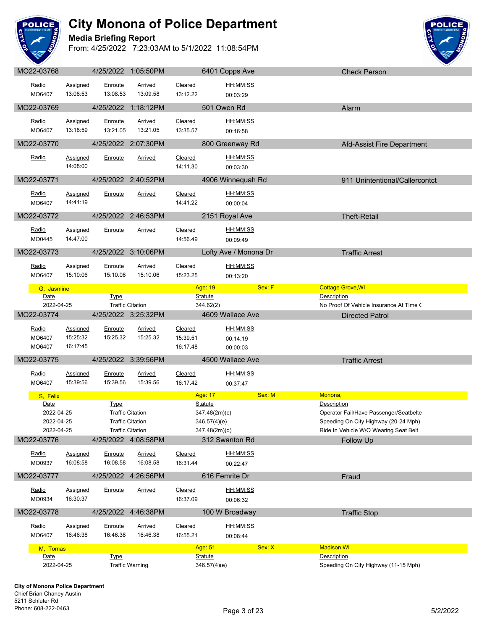

#### **Media Briefing Report**



|                                                |                             |                     | 4/25/2022 1:05:50PM                                                           |                            | 6401 Copps Ave                                                   |                       | <b>Check Person</b>                                                                                                     |
|------------------------------------------------|-----------------------------|---------------------|-------------------------------------------------------------------------------|----------------------------|------------------------------------------------------------------|-----------------------|-------------------------------------------------------------------------------------------------------------------------|
| Radio<br>MO6407                                | Assigned<br>13:08:53        | Enroute<br>13:08.53 | Arrived<br>13:09.58                                                           | Cleared<br>13:12.22        | HH:MM:SS<br>00:03:29                                             |                       |                                                                                                                         |
|                                                |                             |                     |                                                                               |                            |                                                                  |                       |                                                                                                                         |
| MO22-03769                                     |                             |                     | 4/25/2022 1:18:12PM                                                           |                            | 501 Owen Rd                                                      |                       | Alarm                                                                                                                   |
| Radio<br>MO6407                                | <b>Assigned</b><br>13:18:59 | Enroute<br>13:21.05 | Arrived<br>13:21.05                                                           | Cleared<br>13:35.57        | HH:MM:SS<br>00:16:58                                             |                       |                                                                                                                         |
| MO22-03770                                     |                             |                     | 4/25/2022 2:07:30PM                                                           |                            | 800 Greenway Rd                                                  |                       | Afd-Assist Fire Department                                                                                              |
| Radio                                          | Assigned<br>14:08:00        | Enroute             | Arrived                                                                       | Cleared<br>14:11.30        | HH:MM:SS<br>00:03:30                                             |                       |                                                                                                                         |
| MO22-03771                                     |                             |                     | 4/25/2022 2:40:52PM                                                           |                            | 4906 Winnequah Rd                                                |                       | 911 Unintentional/Callercontct                                                                                          |
| Radio<br>MO6407                                | <b>Assigned</b><br>14:41:19 | Enroute             | <b>Arrived</b>                                                                | Cleared<br>14:41.22        | <u>HH:MM:SS</u><br>00:00:04                                      |                       |                                                                                                                         |
| MO22-03772                                     |                             |                     | 4/25/2022 2:46:53PM                                                           |                            | 2151 Royal Ave                                                   |                       | <b>Theft-Retail</b>                                                                                                     |
| Radio<br>MO0445                                | <b>Assigned</b><br>14:47:00 | Enroute             | <b>Arrived</b>                                                                | Cleared<br>14:56.49        | HH:MM:SS<br>00:09:49                                             |                       |                                                                                                                         |
| MO22-03773                                     |                             |                     | 4/25/2022 3:10:06PM                                                           |                            | Lofty Ave / Monona Dr                                            |                       | <b>Traffic Arrest</b>                                                                                                   |
| Radio<br>MO6407                                | Assigned<br>15:10:06        | Enroute<br>15:10.06 | Arrived<br>15:10.06                                                           | <b>Cleared</b><br>15:23.25 | HH:MM:SS<br>00:13:20                                             |                       |                                                                                                                         |
| G. Jasmine                                     |                             |                     |                                                                               |                            | Age: 19                                                          | Sex: F                | <b>Cottage Grove, WI</b>                                                                                                |
| Date                                           |                             | <b>Type</b>         |                                                                               |                            | <b>Statute</b>                                                   | Description           | No Proof Of Vehicle Insurance At Time (                                                                                 |
| 2022-04-25<br>MO22-03774                       |                             |                     | <b>Traffic Citation</b><br>4/25/2022 3:25:32PM                                |                            | 344.62(2)<br>4609 Wallace Ave                                    |                       | <b>Directed Patrol</b>                                                                                                  |
| Radio                                          | <b>Assigned</b>             | Enroute             | Arrived                                                                       | Cleared                    | HH:MM:SS                                                         |                       |                                                                                                                         |
| MO6407<br>MO6407                               | 15:25:32<br>16:17:45        | 15:25.32            | 15:25.32                                                                      | 15:39.51<br>16:17.48       | 00:14:19<br>00:00:03                                             |                       |                                                                                                                         |
| MO22-03775                                     |                             |                     | 4/25/2022 3:39:56PM                                                           |                            | 4500 Wallace Ave                                                 |                       | <b>Traffic Arrest</b>                                                                                                   |
|                                                |                             |                     |                                                                               |                            |                                                                  |                       |                                                                                                                         |
| Radio<br>MO6407                                | <b>Assigned</b><br>15:39:56 | Enroute<br>15:39.56 | Arrived<br>15:39.56                                                           | Cleared<br>16:17.42        | HH:MM:SS<br>00:37:47                                             |                       |                                                                                                                         |
| S, Felix                                       |                             |                     |                                                                               |                            | Age: 17                                                          | Sex: M<br>Monona,     |                                                                                                                         |
| Date<br>2022-04-25<br>2022-04-25<br>2022-04-25 |                             | <b>Type</b>         | <b>Traffic Citation</b><br><b>Traffic Citation</b><br><b>Traffic Citation</b> |                            | <b>Statute</b><br>347.48(2m)(c)<br>346.57(4)(e)<br>347.48(2m)(d) | <b>Description</b>    | Operator Fail/Have Passenger/Seatbelte<br>Speeding On City Highway (20-24 Mph)<br>Ride In Vehicle W/O Wearing Seat Belt |
| MO22-03776                                     |                             |                     | 4/25/2022 4:08:58PM                                                           |                            | 312 Swanton Rd                                                   |                       | <b>Follow Up</b>                                                                                                        |
| <u>Radio</u><br>MO0937                         | Assigned<br>16:08:58        | Enroute<br>16:08.58 | <b>Arrived</b><br>16:08.58                                                    | Cleared<br>16:31.44        | HH:MM:SS<br>00:22:47                                             |                       |                                                                                                                         |
| MO22-03777                                     |                             |                     | 4/25/2022 4:26:56PM                                                           |                            | 616 Femrite Dr                                                   |                       | Fraud                                                                                                                   |
| Radio<br>MO0934                                | Assigned<br>16:30:37        | Enroute             | <b>Arrived</b>                                                                | Cleared<br>16:37.09        | <u>HH:MM:SS</u><br>00:06:32                                      |                       |                                                                                                                         |
| MO22-03778                                     |                             |                     | 4/25/2022 4:46:38PM                                                           |                            | 100 W Broadway                                                   |                       | <b>Traffic Stop</b>                                                                                                     |
| Radio<br>MO6407                                | Assigned<br>16:46:38        | Enroute<br>16:46.38 | <b>Arrived</b><br>16:46.38                                                    | Cleared<br>16:55.21        | HH:MM:SS<br>00:08:44                                             |                       |                                                                                                                         |
|                                                |                             |                     |                                                                               |                            | Age: 51                                                          | Sex: X<br>Madison, WI |                                                                                                                         |
| M, Tomas<br>Date<br>2022-04-25                 |                             | <b>Type</b>         | <b>Traffic Warning</b>                                                        |                            | <b>Statute</b><br>346.57(4)(e)                                   | Description           | Speeding On City Highway (11-15 Mph)                                                                                    |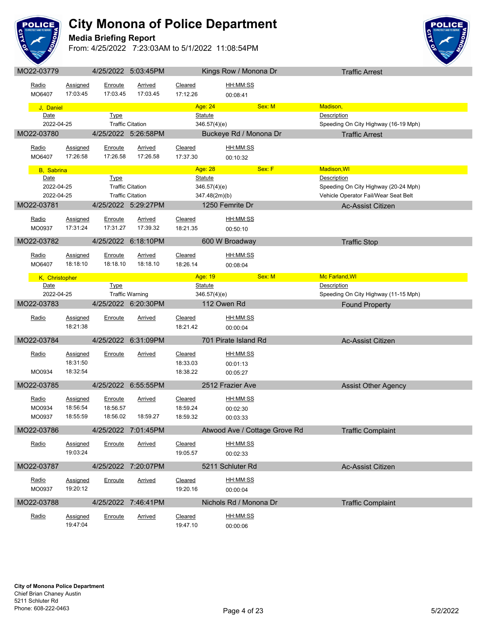

#### **Media Briefing Report**



| MO22-03779               |                      |                     | 4/25/2022 5:03:45PM                                |                           | Kings Row / Monona Dr         |        | <b>Traffic Arrest</b>                                                        |  |
|--------------------------|----------------------|---------------------|----------------------------------------------------|---------------------------|-------------------------------|--------|------------------------------------------------------------------------------|--|
| Radio<br>MO6407          | Assigned<br>17:03:45 | Enroute<br>17:03.45 | <b>Arrived</b><br>17:03.45                         | Cleared<br>17:12.26       | HH:MM:SS<br>00:08:41          |        |                                                                              |  |
|                          |                      |                     |                                                    |                           |                               |        |                                                                              |  |
| J, Daniel<br>Date        |                      | <b>Type</b>         |                                                    | Age: 24<br><b>Statute</b> |                               | Sex: M | Madison,<br>Description                                                      |  |
| 2022-04-25               |                      |                     | <b>Traffic Citation</b>                            |                           | 346.57(4)(e)                  |        | Speeding On City Highway (16-19 Mph)                                         |  |
| MO22-03780               |                      |                     | 4/25/2022 5:26:58PM                                |                           | Buckeye Rd / Monona Dr        |        | <b>Traffic Arrest</b>                                                        |  |
|                          |                      |                     |                                                    |                           |                               |        |                                                                              |  |
| Radio                    | Assigned             | Enroute             | Arrived                                            | Cleared                   | HH:MM:SS                      |        |                                                                              |  |
| MO6407                   | 17:26:58             | 17:26.58            | 17:26.58                                           | 17:37.30                  | 00:10:32                      |        |                                                                              |  |
| <b>B</b> , Sabrina       |                      |                     |                                                    | Age: 28                   |                               | Sex: F | Madison, WI                                                                  |  |
| Date                     |                      | <b>Type</b>         |                                                    | <b>Statute</b>            |                               |        | Description                                                                  |  |
| 2022-04-25<br>2022-04-25 |                      |                     | <b>Traffic Citation</b><br><b>Traffic Citation</b> |                           | 346.57(4)(e)<br>347.48(2m)(b) |        | Speeding On City Highway (20-24 Mph)<br>Vehicle Operator Fail/Wear Seat Belt |  |
| MO22-03781               |                      |                     | 4/25/2022 5:29:27PM                                |                           | 1250 Femrite Dr               |        | <b>Ac-Assist Citizen</b>                                                     |  |
|                          |                      |                     |                                                    |                           |                               |        |                                                                              |  |
| Radio                    | Assigned             | <u>Enroute</u>      | <b>Arrived</b>                                     | Cleared                   | HH:MM:SS                      |        |                                                                              |  |
| MO0937                   | 17:31:24             | 17:31.27            | 17:39.32                                           | 18:21.35                  | 00:50:10                      |        |                                                                              |  |
| MO22-03782               |                      |                     | 4/25/2022 6:18:10PM                                |                           | 600 W Broadway                |        | <b>Traffic Stop</b>                                                          |  |
| Radio                    | <b>Assigned</b>      | Enroute             | Arrived                                            | Cleared                   | HH:MM:SS                      |        |                                                                              |  |
| MO6407                   | 18:18:10             | 18:18.10            | 18:18.10                                           | 18:26.14                  | 00:08:04                      |        |                                                                              |  |
|                          |                      |                     |                                                    | Age: 19                   |                               | Sex: M | Mc Farland, WI                                                               |  |
| K, Christopher<br>Date   |                      | <b>Type</b>         |                                                    | <b>Statute</b>            |                               |        | Description                                                                  |  |
| 2022-04-25               |                      |                     | <b>Traffic Warning</b>                             |                           | 346.57(4)(e)                  |        | Speeding On City Highway (11-15 Mph)                                         |  |
| MO22-03783               |                      |                     | 4/25/2022 6:20:30PM                                |                           | 112 Owen Rd                   |        | <b>Found Property</b>                                                        |  |
| Radio                    | Assigned             | Enroute             | <b>Arrived</b>                                     | Cleared                   | HH:MM:SS                      |        |                                                                              |  |
|                          | 18:21:38             |                     |                                                    | 18:21.42                  | 00:00:04                      |        |                                                                              |  |
|                          |                      |                     |                                                    |                           |                               |        |                                                                              |  |
| MO22-03784               |                      | 4/25/2022           | 6:31:09PM                                          |                           | 701 Pirate Island Rd          |        | Ac-Assist Citizen                                                            |  |
| Radio                    | <b>Assigned</b>      | Enroute             | <u>Arrived</u>                                     | Cleared                   | HH:MM:SS                      |        |                                                                              |  |
|                          | 18:31:50             |                     |                                                    | 18:33.03                  | 00:01:13                      |        |                                                                              |  |
| MO0934                   | 18:32:54             |                     |                                                    | 18:38.22                  | 00:05:27                      |        |                                                                              |  |
| MO22-03785               |                      |                     | 4/25/2022 6:55:55PM                                |                           | 2512 Frazier Ave              |        | <b>Assist Other Agency</b>                                                   |  |
| Radio                    | Assigned             | Enroute             | <b>Arrived</b>                                     | Cleared                   | <u>HH:MM:SS</u>               |        |                                                                              |  |
| MO0934                   | 18:56:54             | 18:56.57            |                                                    | 18:59.24                  | 00:02:30                      |        |                                                                              |  |
| MO0937                   | 18:55:59             | 18:56.02            | 18:59.27                                           | 18:59.32                  | 00:03:33                      |        |                                                                              |  |
| MO22-03786               |                      |                     | 4/25/2022 7:01:45PM                                |                           | Atwood Ave / Cottage Grove Rd |        | <b>Traffic Complaint</b>                                                     |  |
|                          |                      |                     |                                                    |                           |                               |        |                                                                              |  |
| Radio                    | Assigned             | Enroute             | <b>Arrived</b>                                     | Cleared                   | HH:MM:SS                      |        |                                                                              |  |
|                          | 19:03:24             |                     |                                                    | 19:05.57                  | 00:02:33                      |        |                                                                              |  |
| MO22-03787               |                      |                     | 4/25/2022 7:20:07PM                                |                           | 5211 Schluter Rd              |        | Ac-Assist Citizen                                                            |  |
| Radio                    | Assigned             | Enroute             | <b>Arrived</b>                                     | Cleared                   | HH:MM:SS                      |        |                                                                              |  |
| MO0937                   | 19:20:12             |                     |                                                    | 19:20.16                  | 00:00:04                      |        |                                                                              |  |
| MO22-03788               |                      |                     | 4/25/2022 7:46:41PM                                |                           | Nichols Rd / Monona Dr        |        | <b>Traffic Complaint</b>                                                     |  |
|                          |                      |                     |                                                    |                           |                               |        |                                                                              |  |
| Radio                    | <b>Assigned</b>      | Enroute             | <b>Arrived</b>                                     | Cleared                   | HH:MM:SS                      |        |                                                                              |  |
|                          | 19:47:04             |                     |                                                    | 19:47.10                  | 00:00:06                      |        |                                                                              |  |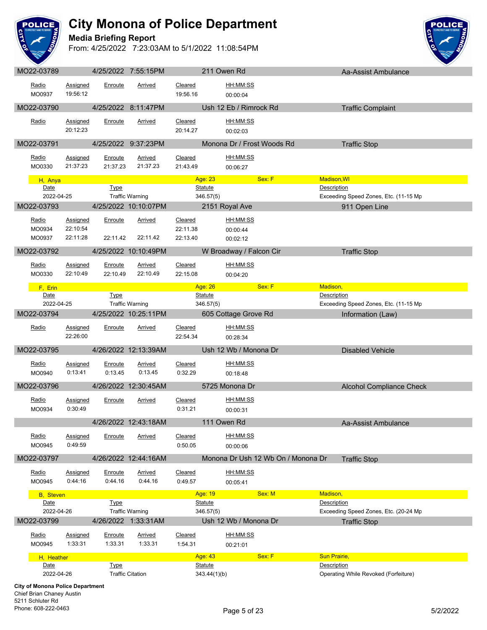

#### **Media Briefing Report**



| MO22-03789                              |                     |                    | 4/25/2022 7:55:15PM       |                    | 211 Owen Rd                 |                                    | Aa-Assist Ambulance                                  |
|-----------------------------------------|---------------------|--------------------|---------------------------|--------------------|-----------------------------|------------------------------------|------------------------------------------------------|
| Radio                                   | Assigned            | Enroute            | Arrived                   | Cleared            |                             | HH:MM:SS                           |                                                      |
| MO0937                                  | 19:56:12            |                    |                           | 19:56.16           |                             | 00:00:04                           |                                                      |
| MO22-03790                              |                     |                    | 4/25/2022 8:11:47PM       |                    |                             | Ush 12 Eb / Rimrock Rd             | <b>Traffic Complaint</b>                             |
| Radio                                   | <b>Assigned</b>     | Enroute            | Arrived                   | Cleared            |                             | HH:MM:SS                           |                                                      |
|                                         | 20:12:23            |                    |                           | 20:14.27           |                             | 00:02:03                           |                                                      |
| MO22-03791                              |                     |                    | 4/25/2022 9:37:23PM       |                    |                             | Monona Dr / Frost Woods Rd         | <b>Traffic Stop</b>                                  |
| Radio                                   | <b>Assigned</b>     | Enroute            | <b>Arrived</b>            | Cleared            |                             | HH:MM:SS                           |                                                      |
| MO0330                                  | 21:37:23            | 21:37.23           | 21:37.23                  | 21:43.49           |                             | 00:06:27                           |                                                      |
| H, Anya                                 |                     |                    |                           |                    | Age: 23                     | Sex: F                             | Madison, WI                                          |
| Date<br>2022-04-25                      |                     | <b>Type</b>        | <b>Traffic Warning</b>    |                    | <b>Statute</b><br>346.57(5) |                                    | Description<br>Exceeding Speed Zones, Etc. (11-15 Mp |
| MO22-03793                              |                     |                    | 4/25/2022 10:10:07PM      |                    |                             | 2151 Royal Ave                     | 911 Open Line                                        |
| Radio                                   | <b>Assigned</b>     |                    |                           | Cleared            |                             | HH:MM:SS                           |                                                      |
| MO0934                                  | 22:10:54            | Enroute            | <b>Arrived</b>            | 22:11.38           |                             | 00:00:44                           |                                                      |
| MO0937                                  | 22:11:28            | 22:11.42           | 22:11.42                  | 22:13.40           |                             | 00:02:12                           |                                                      |
| MO22-03792                              |                     |                    | 4/25/2022 10:10:49PM      |                    |                             | W Broadway / Falcon Cir            | <b>Traffic Stop</b>                                  |
| Radio                                   | <b>Assigned</b>     | Enroute            | <b>Arrived</b>            | Cleared            |                             | <u>HH:MM:SS</u>                    |                                                      |
| MO0330                                  | 22:10:49            | 22:10.49           | 22:10.49                  | 22:15.08           |                             | 00:04:20                           |                                                      |
| F, Erin                                 |                     |                    |                           |                    | Age: 26                     | Sex: F                             | Madison,                                             |
| Date                                    |                     | <b>Type</b>        |                           |                    | Statute                     |                                    | Description                                          |
| 2022-04-25                              |                     |                    | <b>Traffic Warning</b>    |                    | 346.57(5)                   |                                    | Exceeding Speed Zones, Etc. (11-15 Mp                |
| MO22-03794                              |                     |                    | 4/25/2022 10:25:11PM      |                    |                             | 605 Cottage Grove Rd               | Information (Law)                                    |
| Radio                                   | <b>Assigned</b>     | Enroute            | <b>Arrived</b>            | Cleared            |                             | HH:MM:SS                           |                                                      |
|                                         | 22:26:00            |                    |                           | 22:54.34           |                             | 00:28:34                           |                                                      |
| MO22-03795                              |                     |                    | 4/26/2022 12:13:39AM      |                    |                             | Ush 12 Wb / Monona Dr              | <b>Disabled Vehicle</b>                              |
| Radio                                   | <b>Assigned</b>     | Enroute            | <b>Arrived</b>            | Cleared            |                             | HH:MM:SS                           |                                                      |
| MO0940                                  | 0:13:41             | 0:13.45            | 0:13.45                   | 0:32.29            |                             | 00:18:48                           |                                                      |
| MO22-03796                              |                     |                    | 4/26/2022 12:30:45AM      |                    |                             | 5725 Monona Dr                     | <b>Alcohol Compliance Check</b>                      |
| Radio                                   | Assigned            | Enroute            | Arrived                   | Cleared            |                             | HH:MM:SS                           |                                                      |
| MO0934                                  | 0:30:49             |                    |                           | 0:31.21            |                             | 00:00:31                           |                                                      |
|                                         |                     |                    | 4/26/2022 12:43:18AM      |                    | 111 Owen Rd                 |                                    | Aa-Assist Ambulance                                  |
| Radio                                   | Assigned            | Enroute            | <b>Arrived</b>            | Cleared            |                             | HH:MM:SS                           |                                                      |
| MO0945                                  | 0:49:59             |                    |                           | 0:50.05            |                             | 00:00:06                           |                                                      |
| MO22-03797                              |                     |                    | 4/26/2022 12:44:16AM      |                    |                             | Monona Dr Ush 12 Wb On / Monona Dr | <b>Traffic Stop</b>                                  |
| Radio                                   | <b>Assigned</b>     | Enroute            | <b>Arrived</b>            | Cleared            |                             | HH:MM:SS                           |                                                      |
| MO0945                                  | 0:44:16             | 0:44.16            | 0:44.16                   | 0:49.57            |                             | 00:05:41                           |                                                      |
| <b>B</b> , Steven                       |                     |                    |                           |                    | Age: 19                     | Sex: M                             | Madison,                                             |
| Date<br>2022-04-26                      |                     | <b>Type</b>        | <b>Traffic Warning</b>    |                    | <b>Statute</b><br>346.57(5) |                                    | Description<br>Exceeding Speed Zones, Etc. (20-24 Mp |
| MO22-03799                              |                     |                    | 4/26/2022 1:33:31AM       |                    |                             | Ush 12 Wb / Monona Dr              | <b>Traffic Stop</b>                                  |
|                                         |                     |                    |                           |                    |                             | HH:MM:SS                           |                                                      |
| Radio<br>MO0945                         | Assigned<br>1:33:31 | Enroute<br>1:33.31 | <b>Arrived</b><br>1:33.31 | Cleared<br>1:54.31 |                             | 00:21:01                           |                                                      |
| H, Heather                              |                     |                    |                           |                    | Age: 43                     | Sex: F                             | <b>Sun Prairie,</b>                                  |
| Date                                    |                     | <b>Type</b>        |                           |                    | <b>Statute</b>              |                                    | <b>Description</b>                                   |
| 2022-04-26                              |                     |                    | <b>Traffic Citation</b>   |                    | 343.44(1)(b)                |                                    | Operating While Revoked (Forfeiture)                 |
| <b>City of Monona Police Department</b> |                     |                    |                           |                    |                             |                                    |                                                      |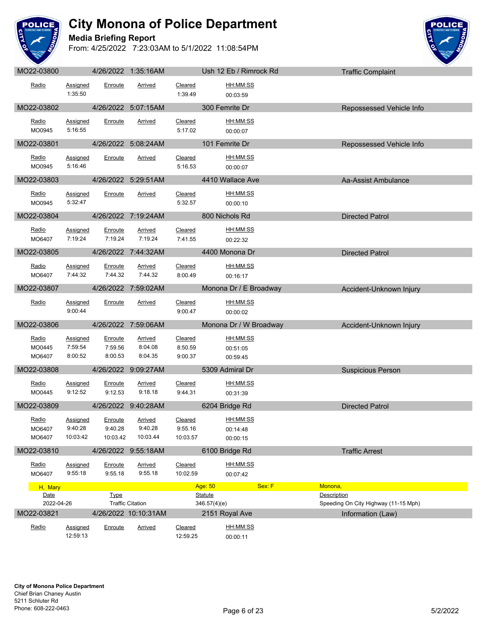

#### **Media Briefing Report**



| MO22-03800                    |                                        |                                | 4/26/2022 1:35:16AM            |                                | Ush 12 Eb / Rimrock Rd                              |                        | <b>Traffic Complaint</b>             |
|-------------------------------|----------------------------------------|--------------------------------|--------------------------------|--------------------------------|-----------------------------------------------------|------------------------|--------------------------------------|
| Radio                         | Assigned<br>1:35:50                    | Enroute                        | Arrived                        | Cleared<br>1:39.49             | HH:MM:SS<br>00:03:59                                |                        |                                      |
| MO22-03802                    |                                        |                                | 4/26/2022 5:07:15AM            |                                | 300 Femrite Dr                                      |                        | Repossessed Vehicle Info             |
| Radio<br>MO0945               | Assigned<br>5:16:55                    | Enroute                        | Arrived                        | Cleared<br>5:17.02             | HH:MM:SS<br>00:00:07                                |                        |                                      |
| MO22-03801                    |                                        |                                | 4/26/2022 5:08:24AM            |                                | 101 Femrite Dr                                      |                        | Repossessed Vehicle Info             |
| Radio<br>MO0945               | Assigned<br>5:16:46                    | Enroute                        | Arrived                        | Cleared<br>5:16.53             | HH:MM:SS<br>00:00:07                                |                        |                                      |
| MO22-03803                    |                                        |                                | 4/26/2022 5:29:51AM            |                                | 4410 Wallace Ave                                    |                        | Aa-Assist Ambulance                  |
| Radio<br>MO0945               | <b>Assigned</b><br>5:32:47             | Enroute                        | <b>Arrived</b>                 | Cleared<br>5:32.57             | <u>HH:MM:SS</u><br>00:00:10                         |                        |                                      |
| MO22-03804                    |                                        |                                | 4/26/2022 7:19:24AM            |                                | 800 Nichols Rd                                      |                        | <b>Directed Patrol</b>               |
| Radio<br>MO6407               | Assigned<br>7:19:24                    | Enroute<br>7:19.24             | <b>Arrived</b><br>7:19.24      | Cleared<br>7:41.55             | HH:MM:SS<br>00:22:32                                |                        |                                      |
| MO22-03805                    |                                        |                                | 4/26/2022 7:44:32AM            |                                | 4400 Monona Dr                                      |                        | <b>Directed Patrol</b>               |
| Radio<br>MO6407               | Assigned<br>7:44:32                    | Enroute<br>7:44.32             | Arrived<br>7:44.32             | Cleared<br>8:00.49             | HH:MM:SS<br>00:16:17                                |                        |                                      |
| MO22-03807                    |                                        |                                | 4/26/2022 7:59:02AM            |                                | Monona Dr / E Broadway                              |                        | Accident-Unknown Injury              |
| Radio                         | Assigned<br>9:00:44                    | Enroute                        | Arrived                        | Cleared<br>9:00.47             | <u>HH:MM:SS</u><br>00:00:02                         |                        |                                      |
| MO22-03806                    |                                        |                                | 4/26/2022 7:59:06AM            |                                | Monona Dr / W Broadway                              |                        | Accident-Unknown Injury              |
| Radio<br>MO0445<br>MO6407     | <b>Assigned</b><br>7:59:54<br>8:00:52  | Enroute<br>7:59.56<br>8:00.53  | Arrived<br>8:04.08<br>8:04.35  | Cleared<br>8:50.59<br>9:00.37  | HH:MM:SS<br>00:51:05<br>00:59:45                    |                        |                                      |
| MO22-03808                    |                                        |                                | 4/26/2022 9:09:27AM            |                                | 5309 Admiral Dr                                     |                        | <b>Suspicious Person</b>             |
| Radio<br>MO0445               | Assigned<br>9:12:52                    | Enroute<br>9:12.53             | Arrived<br>9:18.18             | Cleared<br>9:44.31             | HH:MM:SS<br>00:31:39                                |                        |                                      |
| MO22-03809                    |                                        |                                | 4/26/2022 9:40:28AM            |                                | 6204 Bridge Rd                                      |                        | <b>Directed Patrol</b>               |
| Radio<br>MO6407<br>MO6407     | <b>Assigned</b><br>9:40:28<br>10:03:42 | Enroute<br>9:40.28<br>10:03.42 | Arrived<br>9:40.28<br>10:03.44 | Cleared<br>9:55.16<br>10:03.57 | HH:MM:SS<br>00:14:48<br>00:00:15                    |                        |                                      |
| MO22-03810                    |                                        |                                | 4/26/2022 9:55:18AM            |                                | 6100 Bridge Rd                                      |                        | <b>Traffic Arrest</b>                |
| Radio<br>MO6407               | Assigned<br>9:55:18                    | Enroute<br>9:55.18             | <b>Arrived</b><br>9:55.18      | Cleared<br>10:02.59            | HH:MM:SS<br>00:07:42                                |                        |                                      |
| H, Mary<br>Date<br>2022-04-26 |                                        | <b>Type</b>                    | <b>Traffic Citation</b>        |                                | Sex: F<br>Age: 50<br><b>Statute</b><br>346.57(4)(e) | Monona,<br>Description | Speeding On City Highway (11-15 Mph) |
| MO22-03821                    |                                        |                                | 4/26/2022 10:10:31AM           |                                | 2151 Royal Ave                                      |                        | Information (Law)                    |
| Radio                         | Assigned<br>12:59:13                   | Enroute                        | Arrived                        | Cleared<br>12:59.25            | HH:MM:SS<br>00:00:11                                |                        |                                      |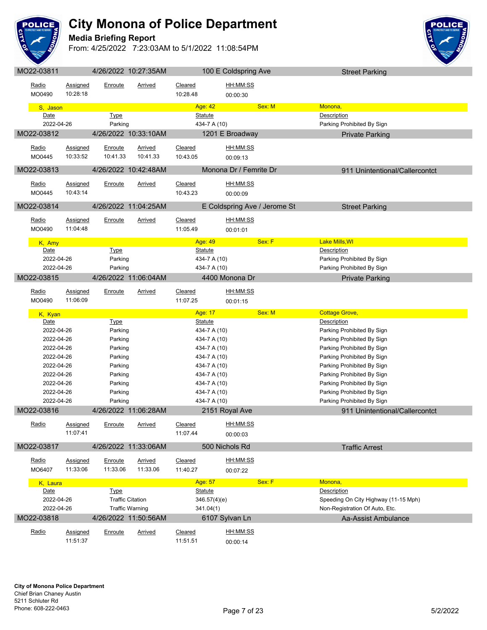

#### **Media Briefing Report**



| Radio<br>MO0490          | Assigned<br>10:28:18        | Enroute                | Arrived                 | Cleared<br>10:28.48            | HH:MM:SS<br>00:00:30         |                                                          |  |
|--------------------------|-----------------------------|------------------------|-------------------------|--------------------------------|------------------------------|----------------------------------------------------------|--|
| S, Jason                 |                             |                        |                         | Age: 42                        | Sex: M                       | Monona,                                                  |  |
| Date<br>2022-04-26       |                             | <b>Type</b><br>Parking |                         | <b>Statute</b><br>434-7 A (10) |                              | Description<br>Parking Prohibited By Sign                |  |
| MO22-03812               |                             |                        | 4/26/2022 10:33:10AM    |                                | 1201 E Broadway              | <b>Private Parking</b>                                   |  |
| <u>Radio</u><br>MO0445   | Assigned<br>10:33:52        | Enroute<br>10:41.33    | Arrived<br>10:41.33     | Cleared<br>10:43.05            | HH:MM:SS<br>00:09:13         |                                                          |  |
| MO22-03813               |                             |                        | 4/26/2022 10:42:48AM    |                                | Monona Dr / Femrite Dr       | 911 Unintentional/Callercontct                           |  |
| <u>Radio</u><br>MO0445   | <b>Assigned</b><br>10:43:14 | <u>Enroute</u>         | <u>Arrived</u>          | <b>Cleared</b><br>10:43.23     | <u>HH:MM:SS</u><br>00:00:09  |                                                          |  |
| MO22-03814               |                             |                        | 4/26/2022 11:04:25AM    |                                | E Coldspring Ave / Jerome St | <b>Street Parking</b>                                    |  |
| Radio<br>MO0490          | Assigned<br>11:04:48        | <b>Enroute</b>         | <b>Arrived</b>          | Cleared<br>11:05.49            | HH:MM:SS<br>00:01:01         |                                                          |  |
| K, Amy                   |                             |                        |                         | Age: 49                        | Sex: F                       | <b>Lake Mills, WI</b>                                    |  |
| Date                     |                             | <b>Type</b>            |                         | <b>Statute</b>                 |                              | Description                                              |  |
| 2022-04-26<br>2022-04-26 |                             | Parking<br>Parking     |                         | 434-7 A (10)<br>434-7 A (10)   |                              | Parking Prohibited By Sign<br>Parking Prohibited By Sign |  |
| MO22-03815               |                             |                        | 4/26/2022 11:06:04AM    |                                | 4400 Monona Dr               | <b>Private Parking</b>                                   |  |
|                          |                             |                        |                         |                                |                              |                                                          |  |
| Radio<br>MO0490          | <b>Assigned</b><br>11:06:09 | Enroute                | Arrived                 | Cleared<br>11:07.25            | HH:MM:SS<br>00:01:15         |                                                          |  |
|                          |                             |                        |                         |                                |                              | <b>Cottage Grove,</b>                                    |  |
| K, Kyan                  |                             |                        |                         | Age: 17                        | Sex: M                       |                                                          |  |
| Date                     |                             | <b>Type</b>            |                         | <b>Statute</b>                 |                              | Description                                              |  |
| 2022-04-26               |                             | Parking                |                         | 434-7 A (10)                   |                              | Parking Prohibited By Sign                               |  |
| 2022-04-26               |                             | Parking                |                         | 434-7 A (10)                   |                              | Parking Prohibited By Sign                               |  |
| 2022-04-26               |                             | Parking                |                         | 434-7 A (10)                   |                              | Parking Prohibited By Sign                               |  |
| 2022-04-26               |                             | Parking                |                         | 434-7 A (10)                   |                              | Parking Prohibited By Sign                               |  |
| 2022-04-26<br>2022-04-26 |                             | Parking                |                         | 434-7 A (10)                   |                              | Parking Prohibited By Sign                               |  |
| 2022-04-26               |                             | Parking<br>Parking     |                         | 434-7 A (10)<br>434-7 A (10)   |                              | Parking Prohibited By Sign<br>Parking Prohibited By Sign |  |
| 2022-04-26               |                             | Parking                |                         | 434-7 A (10)                   |                              | Parking Prohibited By Sign                               |  |
| 2022-04-26               |                             | Parking                |                         | 434-7 A (10)                   |                              | Parking Prohibited By Sign                               |  |
| MO22-03816               |                             |                        | 4/26/2022 11:06:28AM    |                                | 2151 Royal Ave               | 911 Unintentional/Callercontct                           |  |
|                          |                             |                        |                         |                                |                              |                                                          |  |
| Radio                    | Assigned<br>11:07:41        | Enroute                | Arrived                 | Cleared<br>11:07.44            | HH:MM:SS                     |                                                          |  |
| MO22-03817               |                             |                        | 4/26/2022 11:33:06AM    |                                | 00:00:03<br>500 Nichols Rd   | <b>Traffic Arrest</b>                                    |  |
| Radio                    | Assigned                    | Enroute                | <b>Arrived</b>          | Cleared                        | HH:MM:SS                     |                                                          |  |
| MO6407                   | 11:33:06                    | 11:33.06               | 11:33.06                | 11:40.27                       | 00:07:22                     |                                                          |  |
|                          |                             |                        |                         |                                |                              |                                                          |  |
| K, Laura<br>Date         |                             |                        |                         | Age: 57<br><b>Statute</b>      | Sex: F                       | Monona,<br>Description                                   |  |
| 2022-04-26               |                             | <b>Type</b>            | <b>Traffic Citation</b> | 346.57(4)(e)                   |                              | Speeding On City Highway (11-15 Mph)                     |  |
| 2022-04-26               |                             |                        | <b>Traffic Warning</b>  | 341.04(1)                      |                              | Non-Registration Of Auto, Etc.                           |  |
| MO22-03818               |                             |                        | 4/26/2022 11:50:56AM    |                                | 6107 Sylvan Ln               | Aa-Assist Ambulance                                      |  |
| Radio                    | Assigned                    | Enroute                | <b>Arrived</b>          | Cleared                        | HH:MM:SS                     |                                                          |  |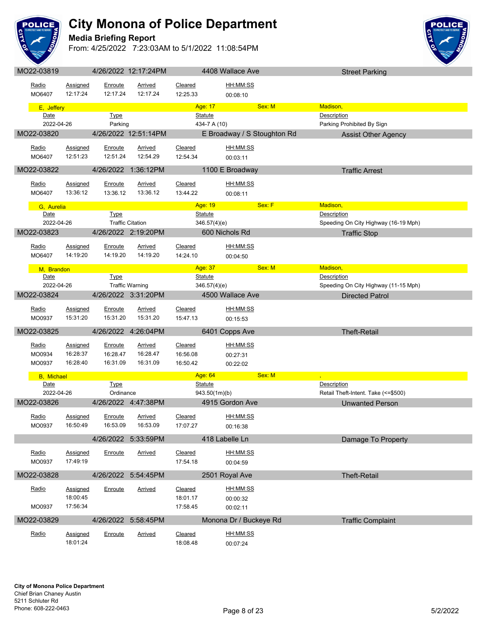

### **Media Briefing Report**



| IVIUZZ-UJO I 9     |                 |             | 4/ZU/ZUZZ 1Z.11.Z4FIVI  |                | 4400 Wallace AVE            | Street Parking                       |
|--------------------|-----------------|-------------|-------------------------|----------------|-----------------------------|--------------------------------------|
|                    |                 |             |                         |                |                             |                                      |
| Radio              | Assigned        | Enroute     | Arrived                 | Cleared        | HH:MM:SS                    |                                      |
| MO6407             | 12:17:24        | 12:17.24    | 12:17.24                | 12:25.33       | 00:08:10                    |                                      |
| E, Jeffery         |                 |             |                         | Age: 17        | Sex: M                      | Madison,                             |
| Date               |                 | <b>Type</b> |                         | <b>Statute</b> |                             | <b>Description</b>                   |
| 2022-04-26         |                 | Parking     |                         | 434-7 A (10)   |                             | Parking Prohibited By Sign           |
| MO22-03820         |                 |             | 4/26/2022 12:51:14PM    |                | E Broadway / S Stoughton Rd | <b>Assist Other Agency</b>           |
|                    |                 |             |                         |                |                             |                                      |
| Radio              | <b>Assigned</b> | Enroute     | Arrived                 | Cleared        | HH:MM:SS                    |                                      |
| MO6407             | 12:51:23        | 12:51.24    | 12:54.29                | 12:54.34       | 00:03:11                    |                                      |
| MO22-03822         |                 |             | 4/26/2022 1:36:12PM     |                | 1100 E Broadway             | <b>Traffic Arrest</b>                |
|                    |                 |             |                         |                |                             |                                      |
| Radio              | Assigned        | Enroute     | Arrived                 | Cleared        | <u>HH:MM:SS</u>             |                                      |
| MO6407             | 13:36:12        | 13:36.12    | 13:36.12                | 13:44.22       | 00:08:11                    |                                      |
| G, Aurelia         |                 |             |                         | Age: 19        | Sex: F                      | Madison,                             |
| Date               |                 | <b>Type</b> |                         | <b>Statute</b> |                             | <b>Description</b>                   |
| 2022-04-26         |                 |             | <b>Traffic Citation</b> | 346.57(4)(e)   |                             | Speeding On City Highway (16-19 Mph) |
| MO22-03823         |                 |             | 4/26/2022 2:19:20PM     |                | 600 Nichols Rd              | <b>Traffic Stop</b>                  |
|                    |                 |             |                         |                |                             |                                      |
| Radio              | Assigned        | Enroute     | <b>Arrived</b>          | Cleared        | HH:MM:SS                    |                                      |
| MO6407             | 14:19:20        | 14:19.20    | 14:19.20                | 14:24.10       | 00:04:50                    |                                      |
| M, Brandon         |                 |             |                         | Age: 37        | Sex: M                      | Madison,                             |
| Date               |                 | <b>Type</b> |                         | <b>Statute</b> |                             | <b>Description</b>                   |
| 2022-04-26         |                 |             | <b>Traffic Warning</b>  | 346.57(4)(e)   |                             | Speeding On City Highway (11-15 Mph) |
| MO22-03824         |                 |             | 4/26/2022 3:31:20PM     |                | 4500 Wallace Ave            | <b>Directed Patrol</b>               |
|                    |                 |             |                         |                |                             |                                      |
| Radio              | <b>Assigned</b> | Enroute     | <b>Arrived</b>          | Cleared        | HH:MM:SS                    |                                      |
| MO0937             | 15:31:20        | 15:31.20    | 15:31.20                | 15:47.13       | 00:15:53                    |                                      |
| MO22-03825         |                 |             | 4/26/2022 4:26:04PM     |                | 6401 Copps Ave              | <b>Theft-Retail</b>                  |
|                    |                 |             |                         |                |                             |                                      |
| Radio              | <b>Assigned</b> | Enroute     | <b>Arrived</b>          | Cleared        | <u>HH:MM:SS</u>             |                                      |
| MO0934             | 16:28:37        | 16:28.47    | 16:28.47                | 16:56.08       | 00:27:31                    |                                      |
| MO0937             | 16:28:40        | 16:31.09    | 16:31.09                | 16:50.42       | 00:22:02                    |                                      |
| <b>B</b> , Michael |                 |             |                         | Age: 64        | Sex: M                      |                                      |
| Date               |                 | Type        |                         | Statute        |                             | Description                          |
| 2022-04-26         |                 | Ordinance   |                         | 943.50(1m)(b)  |                             | Retail Theft-Intent. Take (<=\$500)  |
| MO22-03826         |                 |             | 4/26/2022 4:47:38PM     |                | 4915 Gordon Ave             | <b>Unwanted Person</b>               |
|                    |                 |             |                         |                |                             |                                      |
| Radio              | <b>Assigned</b> | Enroute     | <b>Arrived</b>          | <b>Cleared</b> | HH:MM:SS                    |                                      |
| MO0937             | 16:50:49        | 16:53.09    | 16:53.09                | 17:07.27       | 00:16:38                    |                                      |
|                    |                 |             | 4/26/2022 5:33:59PM     |                | 418 Labelle Ln              | Damage To Property                   |
|                    |                 |             |                         |                |                             |                                      |
| Radio              | <b>Assigned</b> | Enroute     | <b>Arrived</b>          | Cleared        | HH:MM:SS                    |                                      |
| MO0937             | 17:49:19        |             |                         | 17:54.18       | 00:04:59                    |                                      |
| MO22-03828         |                 |             | 4/26/2022 5:54:45PM     |                | 2501 Royal Ave              | <b>Theft-Retail</b>                  |
|                    |                 |             |                         |                |                             |                                      |
| Radio              | Assigned        | Enroute     | Arrived                 | Cleared        | HH:MM:SS                    |                                      |
|                    | 18:00:45        |             |                         | 18:01.17       | 00:00:32                    |                                      |
| MO0937             | 17:56:34        |             |                         | 17:58.45       | 00:02:11                    |                                      |
| MO22-03829         |                 |             | 4/26/2022 5:58:45PM     |                | Monona Dr / Buckeye Rd      | <b>Traffic Complaint</b>             |
|                    |                 |             |                         |                |                             |                                      |
| Radio              | <b>Assigned</b> | Enroute     | <b>Arrived</b>          | Cleared        | HH:MM:SS                    |                                      |
|                    | 18:01:24        |             |                         | 18:08.48       | 00:07:24                    |                                      |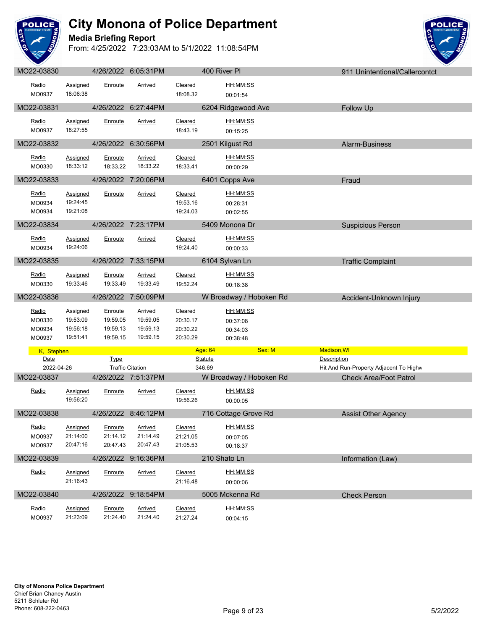

#### **Media Briefing Report**



| MO22-03830                          |                                                     |                                                    | 4/26/2022 6:05:31PM                                |                                             | 400 River PI                                    | 911 Unintentional/Callercontct         |
|-------------------------------------|-----------------------------------------------------|----------------------------------------------------|----------------------------------------------------|---------------------------------------------|-------------------------------------------------|----------------------------------------|
| Radio<br>MO0937                     | Assigned<br>18:06:38                                | Enroute                                            | Arrived                                            | Cleared<br>18:08.32                         | HH:MM:SS<br>00:01:54                            |                                        |
| MO22-03831                          |                                                     |                                                    | 4/26/2022 6:27:44PM                                |                                             | 6204 Ridgewood Ave                              | Follow Up                              |
| Radio<br>MO0937                     | <b>Assigned</b><br>18:27:55                         | Enroute                                            | <b>Arrived</b>                                     | Cleared<br>18:43.19                         | HH:MM:SS<br>00:15:25                            |                                        |
| MO22-03832                          |                                                     |                                                    | 4/26/2022 6:30:56PM                                |                                             | 2501 Kilgust Rd                                 | Alarm-Business                         |
| Radio<br>MO0330                     | <b>Assigned</b><br>18:33:12                         | Enroute<br>18:33.22                                | Arrived<br>18:33.22                                | <b>Cleared</b><br>18:33.41                  | HH:MM:SS<br>00:00:29                            |                                        |
| MO22-03833                          |                                                     |                                                    | 4/26/2022 7:20:06PM                                |                                             | 6401 Copps Ave                                  | Fraud                                  |
| Radio<br>MO0934<br>MO0934           | Assigned<br>19:24:45<br>19:21:08                    | Enroute                                            | <b>Arrived</b>                                     | Cleared<br>19:53.16<br>19:24.03             | HH:MM:SS<br>00:28:31<br>00:02:55                |                                        |
| MO22-03834                          |                                                     |                                                    | 4/26/2022 7:23:17PM                                |                                             | 5409 Monona Dr                                  | <b>Suspicious Person</b>               |
| Radio<br>MO0934                     | Assigned<br>19:24:06                                | Enroute                                            | Arrived                                            | <b>Cleared</b><br>19:24.40                  | HH:MM:SS<br>00:00:33                            |                                        |
| MO22-03835                          |                                                     |                                                    | 4/26/2022 7:33:15PM                                |                                             | 6104 Sylvan Ln                                  | <b>Traffic Complaint</b>               |
| Radio<br>MO0330                     | <b>Assigned</b><br>19:33:46                         | Enroute<br>19:33.49                                | <u>Arrived</u><br>19:33.49                         | Cleared<br>19:52.24                         | HH:MM:SS<br>00:18:38                            |                                        |
|                                     |                                                     |                                                    |                                                    |                                             |                                                 |                                        |
| MO22-03836                          |                                                     | 4/26/2022 7:50:09PM                                |                                                    |                                             | W Broadway / Hoboken Rd                         | Accident-Unknown Injury                |
| Radio<br>MO0330<br>MO0934<br>MO0937 | <b>Assigned</b><br>19:53:09<br>19:56:18<br>19:51:41 | <b>Enroute</b><br>19:59.05<br>19:59.13<br>19:59.15 | <b>Arrived</b><br>19:59.05<br>19:59.13<br>19:59.15 | Cleared<br>20:30.17<br>20:30.22<br>20:30.29 | HH:MM:SS<br>00:37:08<br>00:34:03<br>00:38:48    |                                        |
| K, Stephen                          |                                                     |                                                    |                                                    |                                             | Sex: M<br>Age: 64                               | Madison, WI                            |
| Date                                |                                                     | <b>Type</b>                                        |                                                    |                                             | <b>Statute</b>                                  | <b>Description</b>                     |
| 2022-04-26                          |                                                     |                                                    | <b>Traffic Citation</b>                            |                                             | 346.69                                          | Hit And Run-Property Adjacent To Highw |
| MO22-03837<br>Radio                 | <b>Assigned</b><br>19:56:20                         | Enroute                                            | 4/26/2022 7:51:37PM<br><b>Arrived</b>              | Cleared<br>19:56.26                         | W Broadway / Hoboken Rd<br>HH:MM:SS<br>00:00:05 | <b>Check Area/Foot Patrol</b>          |
| MO22-03838                          |                                                     |                                                    | 4/26/2022 8:46:12PM                                |                                             | 716 Cottage Grove Rd                            | <b>Assist Other Agency</b>             |
| Radio<br>MO0937<br>MO0937           | Assigned<br>21:14:00<br>20:47:16                    | Enroute<br>21:14.12<br>20:47.43                    | <b>Arrived</b><br>21:14.49<br>20:47.43             | <b>Cleared</b><br>21:21.05<br>21:05.53      | HH:MM:SS<br>00:07:05<br>00:18:37                |                                        |
| MO22-03839                          |                                                     |                                                    | 4/26/2022 9:16:36PM                                |                                             | 210 Shato Ln                                    | Information (Law)                      |
| Radio                               | <b>Assigned</b><br>21:16:43                         | Enroute                                            | <b>Arrived</b>                                     | Cleared<br>21:16.48                         | HH:MM:SS<br>00:00:06                            |                                        |
| MO22-03840                          |                                                     |                                                    | 4/26/2022 9:18:54PM                                |                                             | 5005 Mckenna Rd                                 | <b>Check Person</b>                    |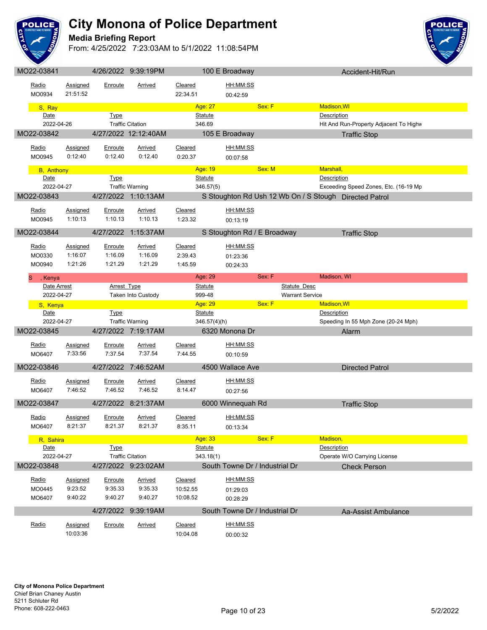

#### **Media Briefing Report**



| MO22-03841         |                      |                    | 4/26/2022 9:39:19PM       |                     | 100 E Broadway                 |                        | Accident-Hit/Run                                       |  |
|--------------------|----------------------|--------------------|---------------------------|---------------------|--------------------------------|------------------------|--------------------------------------------------------|--|
| Radio<br>MO0934    | Assigned<br>21:51:52 | Enroute            | Arrived                   | Cleared<br>22:34.51 | HH:MM:SS<br>00:42:59           |                        |                                                        |  |
| S, Ray             |                      |                    |                           | Age: 27             |                                | Sex: F                 | <b>Madison, WI</b>                                     |  |
| Date               |                      | <b>Type</b>        |                           | <b>Statute</b>      |                                |                        | <b>Description</b>                                     |  |
| 2022-04-26         |                      |                    | <b>Traffic Citation</b>   | 346.69              |                                |                        | Hit And Run-Property Adjacent To Highv                 |  |
| MO22-03842         |                      |                    | 4/27/2022 12:12:40AM      |                     | 105 E Broadway                 |                        | <b>Traffic Stop</b>                                    |  |
|                    |                      |                    |                           |                     |                                |                        |                                                        |  |
| Radio              | Assigned             | Enroute            | <b>Arrived</b>            | Cleared             | HH:MM:SS                       |                        |                                                        |  |
| MO0945             | 0:12:40              | 0:12.40            | 0:12.40                   | 0:20.37             | 00:07:58                       |                        |                                                        |  |
| <b>B</b> , Anthony |                      |                    |                           | Age: 19             |                                | Sex: M                 | Marshall,                                              |  |
| Date               |                      | <b>Type</b>        |                           | <b>Statute</b>      |                                |                        | Description                                            |  |
| 2022-04-27         |                      |                    | <b>Traffic Warning</b>    | 346.57(5)           |                                |                        | Exceeding Speed Zones, Etc. (16-19 Mp                  |  |
| MO22-03843         |                      |                    | 4/27/2022 1:10:13AM       |                     |                                |                        | S Stoughton Rd Ush 12 Wb On / S Stough Directed Patrol |  |
| <u>Radio</u>       | Assigned             |                    |                           | Cleared             | HH:MM:SS                       |                        |                                                        |  |
| MO0945             | 1:10:13              | Enroute<br>1:10.13 | <b>Arrived</b><br>1:10.13 | 1:23.32             |                                |                        |                                                        |  |
|                    |                      |                    |                           |                     | 00:13:19                       |                        |                                                        |  |
| MO22-03844         |                      |                    | 4/27/2022 1:15:37AM       |                     | S Stoughton Rd / E Broadway    |                        | <b>Traffic Stop</b>                                    |  |
| Radio              | <b>Assigned</b>      | <b>Enroute</b>     | <b>Arrived</b>            | Cleared             | HH:MM:SS                       |                        |                                                        |  |
| MO0330             | 1:16:07              | 1:16.09            | 1:16.09                   | 2:39.43             | 01:23:36                       |                        |                                                        |  |
| MO0940             | 1:21:26              | 1:21.29            | 1:21.29                   | 1:45.59             | 00:24:33                       |                        |                                                        |  |
|                    |                      |                    |                           |                     |                                |                        |                                                        |  |
| S<br>, Kenya       |                      |                    |                           | Age: 29             |                                | Sex: F                 | Madison, WI                                            |  |
| Date Arrest        |                      | <b>Arrest Type</b> |                           | Statute             |                                | Statute Desc           |                                                        |  |
| 2022-04-27         |                      |                    | Taken Into Custody        | 999-48              |                                | <b>Warrant Service</b> |                                                        |  |
|                    |                      |                    |                           | Age: 29             |                                | Sex: F                 | <b>Madison, WI</b>                                     |  |
| S, Kenya           |                      |                    |                           |                     |                                |                        |                                                        |  |
| Date               |                      | <b>Type</b>        |                           | <b>Statute</b>      |                                |                        | Description                                            |  |
| 2022-04-27         |                      |                    | <b>Traffic Warning</b>    |                     | 346.57(4)(h)                   |                        | Speeding In 55 Mph Zone (20-24 Mph)                    |  |
| MO22-03845         |                      |                    | 4/27/2022 7:19:17AM       |                     | 6320 Monona Dr                 |                        | Alarm                                                  |  |
| Radio              | <b>Assigned</b>      | Enroute            | <b>Arrived</b>            | Cleared             | HH:MM:SS                       |                        |                                                        |  |
| MO6407             | 7:33:56              | 7:37.54            | 7:37.54                   | 7:44.55             | 00:10:59                       |                        |                                                        |  |
|                    |                      |                    |                           |                     |                                |                        |                                                        |  |
| MO22-03846         |                      |                    | 4/27/2022 7:46:52AM       |                     | 4500 Wallace Ave               |                        | <b>Directed Patrol</b>                                 |  |
| Radio              | <b>Assigned</b>      | Enroute            | <b>Arrived</b>            | Cleared             | HH:MM:SS                       |                        |                                                        |  |
| MO6407             | 7:46:52              | 7:46.52            | 7:46.52                   | 8:14.47             | 00:27:56                       |                        |                                                        |  |
| MO22-03847         |                      |                    | 4/27/2022 8:21:37AM       |                     | 6000 Winnequah Rd              |                        | <b>Traffic Stop</b>                                    |  |
|                    |                      |                    |                           |                     |                                |                        |                                                        |  |
| Radio              | Assigned             | Enroute            | Arrived                   | Cleared             | HH:MM:SS                       |                        |                                                        |  |
| MO6407             | 8:21:37              | 8:21.37            | 8:21.37                   | 8:35.11             | 00:13:34                       |                        |                                                        |  |
| R. Sahira          |                      |                    |                           | Age: 33             |                                | Sex: F                 | Madison,                                               |  |
| Date               |                      | <b>Type</b>        |                           | <b>Statute</b>      |                                |                        | Description                                            |  |
| 2022-04-27         |                      |                    | <b>Traffic Citation</b>   | 343.18(1)           |                                |                        | Operate W/O Carrying License                           |  |
| MO22-03848         |                      |                    | 4/27/2022 9:23:02AM       |                     | South Towne Dr / Industrial Dr |                        | <b>Check Person</b>                                    |  |
|                    |                      |                    |                           |                     |                                |                        |                                                        |  |
| <u>Radio</u>       | <b>Assigned</b>      | Enroute            | <b>Arrived</b>            | Cleared             | HH:MM:SS                       |                        |                                                        |  |
| MO0445             | 9:23:52<br>9:40:22   | 9:35.33            | 9:35.33<br>9:40.27        | 10:52.55            | 01:29:03                       |                        |                                                        |  |
| MO6407             |                      | 9:40.27            |                           | 10:08.52            | 00:28:29                       |                        |                                                        |  |
|                    |                      | 4/27/2022          | 9:39:19AM                 |                     | South Towne Dr / Industrial Dr |                        | Aa-Assist Ambulance                                    |  |
| Radio              | Assigned             | Enroute            | <b>Arrived</b>            | Cleared             | HH:MM:SS                       |                        |                                                        |  |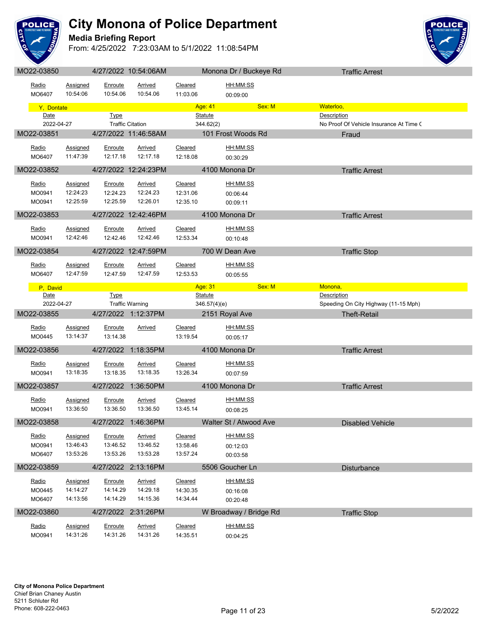

#### **Media Briefing Report**



| MO22-03850         |                      |             | 4/27/2022 10:54:06AM    |          | Monona Dr / Buckeye Rd      | <b>Traffic Arrest</b>                   |  |
|--------------------|----------------------|-------------|-------------------------|----------|-----------------------------|-----------------------------------------|--|
| Radio              | Assigned             | Enroute     | Arrived                 | Cleared  | HH:MM:SS                    |                                         |  |
| MO6407             | 10:54:06             | 10:54.06    | 10:54.06                | 11:03.06 | 00:09:00                    |                                         |  |
|                    |                      |             |                         |          |                             |                                         |  |
| Y, Dontate         |                      |             |                         |          | Age: 41<br>Sex: M           | Waterloo,                               |  |
| Date<br>2022-04-27 |                      | <b>Type</b> |                         |          | <b>Statute</b><br>344.62(2) | Description                             |  |
|                    |                      |             | <b>Traffic Citation</b> |          |                             | No Proof Of Vehicle Insurance At Time ( |  |
| MO22-03851         |                      |             | 4/27/2022 11:46:58AM    |          | 101 Frost Woods Rd          | Fraud                                   |  |
| Radio              | Assigned             | Enroute     | Arrived                 | Cleared  | HH:MM:SS                    |                                         |  |
| MO6407             | 11:47:39             | 12:17.18    | 12:17.18                | 12:18.08 | 00:30:29                    |                                         |  |
| MO22-03852         |                      |             | 4/27/2022 12:24:23PM    |          | 4100 Monona Dr              | <b>Traffic Arrest</b>                   |  |
|                    |                      |             |                         |          |                             |                                         |  |
| <u>Radio</u>       | <b>Assigned</b>      | Enroute     | <b>Arrived</b>          | Cleared  | HH:MM:SS                    |                                         |  |
| MO0941             | 12:24:23             | 12:24.23    | 12:24.23                | 12:31.06 | 00:06:44                    |                                         |  |
| MO0941             | 12:25:59             | 12:25.59    | 12:26.01                | 12:35.10 | 00:09:11                    |                                         |  |
| MO22-03853         |                      |             | 4/27/2022 12:42:46PM    |          | 4100 Monona Dr              | <b>Traffic Arrest</b>                   |  |
| Radio              | Assigned             | Enroute     | Arrived                 | Cleared  | HH:MM:SS                    |                                         |  |
| MO0941             | 12:42:46             | 12:42.46    | 12:42.46                | 12:53.34 | 00:10:48                    |                                         |  |
|                    |                      |             |                         |          |                             |                                         |  |
| MO22-03854         |                      |             | 4/27/2022 12:47:59PM    |          | 700 W Dean Ave              | <b>Traffic Stop</b>                     |  |
| Radio              | <b>Assigned</b>      | Enroute     | <b>Arrived</b>          | Cleared  | HH:MM:SS                    |                                         |  |
| MO6407             | 12:47:59             | 12:47.59    | 12:47.59                | 12:53.53 | 00:05:55                    |                                         |  |
|                    |                      |             |                         |          | Sex: M<br>Age: 31           | Monona,                                 |  |
| P, David<br>Date   |                      | <b>Type</b> |                         |          | <b>Statute</b>              | Description                             |  |
| 2022-04-27         |                      |             | <b>Traffic Warning</b>  |          | 346.57(4)(e)                | Speeding On City Highway (11-15 Mph)    |  |
|                    |                      |             |                         |          |                             |                                         |  |
| MO22-03855         |                      |             | 4/27/2022 1:12:37PM     |          |                             |                                         |  |
|                    |                      |             |                         |          | 2151 Royal Ave              | <b>Theft-Retail</b>                     |  |
| <u>Radio</u>       | <b>Assigned</b>      | Enroute     | Arrived                 | Cleared  | HH:MM:SS                    |                                         |  |
| MO0445             | 13:14:37             | 13:14.38    |                         | 13:19.54 | 00:05:17                    |                                         |  |
| MO22-03856         |                      |             | 4/27/2022 1:18:35PM     |          | 4100 Monona Dr              | <b>Traffic Arrest</b>                   |  |
|                    |                      |             |                         |          |                             |                                         |  |
| Radio              | Assigned<br>13:18:35 | Enroute     | <b>Arrived</b>          | Cleared  | <u>HH:MM:SS</u>             |                                         |  |
| MO0941             |                      | 13:18.35    | 13:18.35                | 13:26.34 | 00:07:59                    |                                         |  |
| MO22-03857         |                      |             | 4/27/2022 1:36:50PM     |          | 4100 Monona Dr              | <b>Traffic Arrest</b>                   |  |
| Radio              | Assigned             | Enroute     | Arrived                 | Cleared  | HH:MM:SS                    |                                         |  |
| MO0941             | 13:36:50             | 13:36.50    | 13:36.50                | 13:45.14 | 00:08:25                    |                                         |  |
| MO22-03858         |                      |             |                         |          | Walter St / Atwood Ave      |                                         |  |
|                    |                      |             | 4/27/2022 1:46:36PM     |          |                             | Disabled Vehicle                        |  |
| <u>Radio</u>       | Assigned             | Enroute     | Arrived                 | Cleared  | HH:MM:SS                    |                                         |  |
| MO0941             | 13:46:43             | 13:46.52    | 13:46.52                | 13:58.46 | 00:12:03                    |                                         |  |
| MO6407             | 13:53:26             | 13:53.26    | 13:53.28                | 13:57.24 | 00:03:58                    |                                         |  |
| MO22-03859         |                      |             | 4/27/2022 2:13:16PM     |          | 5506 Goucher Ln             | Disturbance                             |  |
| <u>Radio</u>       | Assigned             | Enroute     | Arrived                 | Cleared  | HH:MM:SS                    |                                         |  |
| MO0445             | 14:14:27             | 14:14.29    | 14:29.18                | 14:30.35 |                             |                                         |  |
| MO6407             | 14:13:56             | 14:14.29    | 14:15.36                | 14:34.44 | 00:16:08<br>00:20:48        |                                         |  |
|                    |                      |             |                         |          |                             |                                         |  |
| MO22-03860         |                      |             | 4/27/2022 2:31:26PM     |          | W Broadway / Bridge Rd      | <b>Traffic Stop</b>                     |  |
| Radio              | <b>Assigned</b>      | Enroute     | <b>Arrived</b>          | Cleared  | HH:MM:SS                    |                                         |  |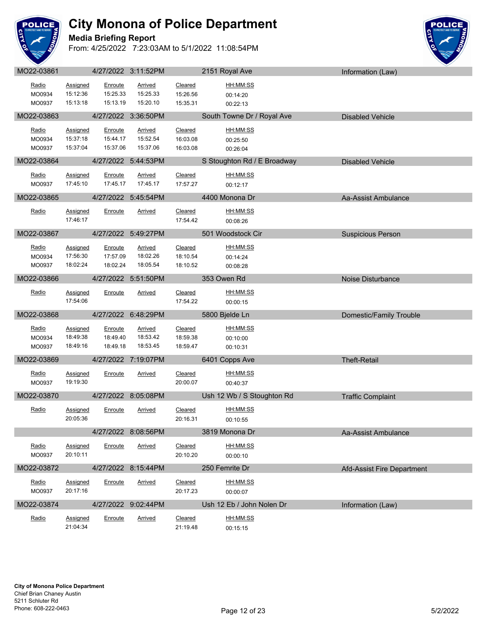

#### **Media Briefing Report**



| Radio      | <b>Assigned</b>      | Enroute  | <b>Arrived</b>      | Cleared             | HH:MM:SS                    |                            |
|------------|----------------------|----------|---------------------|---------------------|-----------------------------|----------------------------|
| MO0934     | 15:12:36             | 15:25.33 | 15:25.33            | 15:26.56            | 00:14:20                    |                            |
| MO0937     | 15:13:18             | 15:13.19 | 15:20.10            | 15:35.31            | 00:22:13                    |                            |
| MO22-03863 |                      |          | 4/27/2022 3:36:50PM |                     | South Towne Dr / Royal Ave  | <b>Disabled Vehicle</b>    |
| Radio      | Assigned             | Enroute  | <b>Arrived</b>      | Cleared             | HH:MM:SS                    |                            |
| MO0934     | 15:37:18             | 15:44.17 | 15:52.54            | 16:03.08            | 00:25:50                    |                            |
| MO0937     | 15:37:04             | 15:37.06 | 15:37.06            | 16:03.08            | 00:26:04                    |                            |
| MO22-03864 |                      |          | 4/27/2022 5:44:53PM |                     | S Stoughton Rd / E Broadway | <b>Disabled Vehicle</b>    |
| Radio      | <b>Assigned</b>      | Enroute  | Arrived             | Cleared             | HH:MM:SS                    |                            |
| MO0937     | 17:45:10             | 17:45.17 | 17:45.17            | 17:57.27            | 00:12:17                    |                            |
| MO22-03865 |                      |          | 4/27/2022 5:45:54PM |                     | 4400 Monona Dr              | Aa-Assist Ambulance        |
| Radio      | <b>Assigned</b>      | Enroute  | Arrived             | Cleared             | HH:MM:SS                    |                            |
|            | 17:46:17             |          |                     | 17:54.42            | 00:08:26                    |                            |
|            |                      |          |                     |                     |                             |                            |
| MO22-03867 |                      |          | 4/27/2022 5:49:27PM |                     | 501 Woodstock Cir           | <b>Suspicious Person</b>   |
| Radio      | Assigned             | Enroute  | <b>Arrived</b>      | Cleared             | <u>HH:MM:SS</u>             |                            |
| MO0934     | 17:56:30             | 17:57.09 | 18:02.26            | 18:10.54            | 00:14:24                    |                            |
| MO0937     | 18:02:24             | 18:02.24 | 18:05.54            | 18:10.52            | 00:08:28                    |                            |
| MO22-03866 |                      |          | 4/27/2022 5:51:50PM |                     | 353 Owen Rd                 | Noise Disturbance          |
| Radio      | Assigned             | Enroute  | <b>Arrived</b>      | Cleared             | HH:MM:SS                    |                            |
|            | 17:54:06             |          |                     | 17:54.22            | 00:00:15                    |                            |
| MO22-03868 |                      |          | 4/27/2022 6:48:29PM |                     | 5800 Bjelde Ln              | Domestic/Family Trouble    |
| Radio      | Assigned             | Enroute  | <b>Arrived</b>      | Cleared             | <u>HH:MM:SS</u>             |                            |
| MO0934     | 18:49:38             | 18:49.40 | 18:53.42            | 18:59.38            | 00:10:00                    |                            |
| MO0937     | 18:49:16             | 18:49.18 | 18:53.45            | 18:59.47            | 00:10:31                    |                            |
| MO22-03869 |                      |          |                     |                     |                             |                            |
|            |                      |          | 4/27/2022 7:19:07PM |                     | 6401 Copps Ave              | <b>Theft-Retail</b>        |
| Radio      |                      |          |                     |                     |                             |                            |
| MO0937     | Assigned<br>19:19:30 | Enroute  | Arrived             | Cleared<br>20:00.07 | HH:MM:SS<br>00:40:37        |                            |
|            |                      |          |                     |                     |                             |                            |
| MO22-03870 |                      |          | 4/27/2022 8:05:08PM |                     | Ush 12 Wb / S Stoughton Rd  | <b>Traffic Complaint</b>   |
| Radio      | Assigned             | Enroute  | Arrived             | Cleared             | HH:MM:SS                    |                            |
|            | 20:05:36             |          |                     | 20:16.31            | 00:10:55                    |                            |
|            |                      |          | 4/27/2022 8:08:56PM |                     | 3819 Monona Dr              | Aa-Assist Ambulance        |
| Radio      | <b>Assigned</b>      | Enroute  | <b>Arrived</b>      | Cleared             | HH:MM:SS                    |                            |
| MO0937     | 20:10:11             |          |                     | 20:10.20            | 00:00:10                    |                            |
| MO22-03872 |                      |          | 4/27/2022 8:15:44PM |                     | 250 Femrite Dr              | Afd-Assist Fire Department |
| Radio      | Assigned             | Enroute  | Arrived             | Cleared             | HH:MM:SS                    |                            |
| MO0937     | 20:17:16             |          |                     | 20:17.23            | 00:00:07                    |                            |
| MO22-03874 |                      |          | 4/27/2022 9:02:44PM |                     | Ush 12 Eb / John Nolen Dr   | Information (Law)          |
| Radio      | Assigned             | Enroute  | <b>Arrived</b>      | Cleared             | HH:MM:SS                    |                            |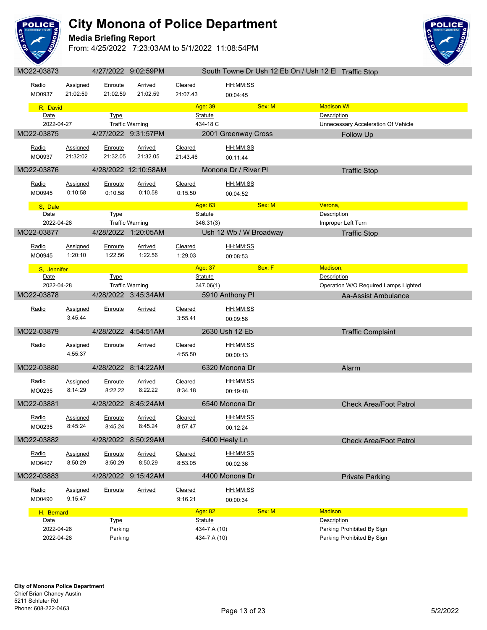

### **Media Briefing Report**



| $IVI\cup L2$ -UUUTU |                 |                | <b>TILIILULL J.UL.UJI IVI</b> |          |                                           |        | <b>OVAILL LOWLIG DE OSIT TZ LD OILT OSIT TZ LE FIRAILLE OLDE</b> |
|---------------------|-----------------|----------------|-------------------------------|----------|-------------------------------------------|--------|------------------------------------------------------------------|
|                     |                 |                |                               |          |                                           |        |                                                                  |
| Radio               | Assigned        | Enroute        | Arrived                       | Cleared  | HH:MM:SS                                  |        |                                                                  |
| MO0937              | 21:02:59        | 21:02.59       | 21:02.59                      | 21:07.43 | 00:04:45                                  |        |                                                                  |
| R, David            |                 |                |                               |          | Age: 39                                   | Sex: M | Madison, WI                                                      |
| Date                |                 | <b>Type</b>    |                               |          | Statute                                   |        | Description                                                      |
| 2022-04-27          |                 |                | <b>Traffic Warning</b>        |          | 434-18 C                                  |        | Unnecessary Acceleration Of Vehicle                              |
|                     |                 |                |                               |          |                                           |        |                                                                  |
| MO22-03875          |                 |                | 4/27/2022 9:31:57PM           |          | 2001 Greenway Cross                       |        | <b>Follow Up</b>                                                 |
| Radio               | <b>Assigned</b> | Enroute        | <b>Arrived</b>                | Cleared  | HH:MM:SS                                  |        |                                                                  |
|                     | 21:32:02        | 21:32.05       | 21:32.05                      |          |                                           |        |                                                                  |
| MO0937              |                 |                |                               | 21:43.46 | 00:11:44                                  |        |                                                                  |
| MO22-03876          |                 |                | 4/28/2022 12:10:58AM          |          | Monona Dr / River Pl                      |        | <b>Traffic Stop</b>                                              |
|                     |                 |                |                               |          |                                           |        |                                                                  |
| Radio               | Assigned        | <u>Enroute</u> | <b>Arrived</b>                | Cleared  | HH:MM:SS                                  |        |                                                                  |
| MO0945              | 0:10:58         | 0:10.58        | 0:10.58                       | 0:15.50  | 00:04:52                                  |        |                                                                  |
|                     |                 |                |                               |          |                                           |        |                                                                  |
| S. Dale             |                 |                |                               |          | Age: 63 <b>Age: 63</b>                    | Sex: M | Verona,                                                          |
| Date                |                 | <b>Type</b>    |                               |          | <b>Statute</b>                            |        | Description                                                      |
| 2022-04-28          |                 |                | <b>Traffic Warning</b>        |          | 346.31(3)                                 |        | Improper Left Turn                                               |
| MO22-03877          |                 |                | 4/28/2022 1:20:05AM           |          | Ush 12 Wb / W Broadway                    |        | <b>Traffic Stop</b>                                              |
|                     |                 |                |                               |          |                                           |        |                                                                  |
| Radio               | Assigned        | Enroute        | Arrived                       | Cleared  | HH:MM:SS                                  |        |                                                                  |
| MO0945              | 1:20:10         | 1:22.56        | 1:22.56                       | 1:29.03  | 00:08:53                                  |        |                                                                  |
|                     |                 |                |                               |          | <b>Age: 37 Page: 27 Page: 27 Page: 27</b> | Sex: F | Madison,                                                         |
| S, Jennifer         |                 |                |                               |          | <b>Statute</b>                            |        | Description                                                      |
| Date<br>2022-04-28  |                 | <b>Type</b>    |                               |          |                                           |        |                                                                  |
|                     |                 |                | <b>Traffic Warning</b>        |          | 347.06(1)                                 |        | Operation W/O Required Lamps Lighted                             |
| MO22-03878          |                 |                | 4/28/2022 3:45:34AM           |          | 5910 Anthony Pl                           |        | Aa-Assist Ambulance                                              |
|                     |                 |                |                               |          | HH:MM:SS                                  |        |                                                                  |
| Radio               | Assigned        | Enroute        | Arrived                       | Cleared  |                                           |        |                                                                  |
|                     | 3:45:44         |                |                               | 3:55.41  | 00:09:58                                  |        |                                                                  |
| MO22-03879          |                 |                | 4/28/2022 4:54:51AM           |          | 2630 Ush 12 Eb                            |        | <b>Traffic Complaint</b>                                         |
|                     |                 |                |                               |          |                                           |        |                                                                  |
| Radio               | <b>Assigned</b> | Enroute        | Arrived                       | Cleared  | HH:MM:SS                                  |        |                                                                  |
|                     | 4:55:37         |                |                               | 4:55.50  | 00:00:13                                  |        |                                                                  |
|                     |                 |                |                               |          |                                           |        |                                                                  |
| MO22-03880          |                 |                | 4/28/2022 8:14:22AM           |          | 6320 Monona Dr                            |        | Alarm                                                            |
| Radio               | <b>Assigned</b> | Enroute        | Arrived                       | Cleared  | HH:MM:SS                                  |        |                                                                  |
|                     | 8:14:29         | 8:22.22        | 8:22.22                       |          |                                           |        |                                                                  |
| MO0235              |                 |                |                               | 8:34.18  | 00:19:48                                  |        |                                                                  |
| MO22-03881          |                 |                | 4/28/2022 8:45:24AM           |          | 6540 Monona Dr                            |        | <b>Check Area/Foot Patrol</b>                                    |
|                     |                 |                |                               |          |                                           |        |                                                                  |
| <u>Radio</u>        | Assigned        | <u>Enroute</u> | <b>Arrived</b>                | Cleared  | HH:MM:SS                                  |        |                                                                  |
| MO0235              | 8:45:24         | 8:45.24        | 8:45.24                       | 8:57.47  | 00:12:24                                  |        |                                                                  |
|                     |                 |                |                               |          |                                           |        |                                                                  |
| MO22-03882          |                 |                | 4/28/2022 8:50:29AM           |          | 5400 Healy Ln                             |        | <b>Check Area/Foot Patrol</b>                                    |
| Radio               | Assigned        | Enroute        | Arrived                       | Cleared  | HH:MM:SS                                  |        |                                                                  |
| MO6407              |                 |                | 8:50.29                       | 8:53.05  |                                           |        |                                                                  |
|                     | 8:50:29         | 8:50.29        |                               |          | 00:02:36                                  |        |                                                                  |
| MO22-03883          |                 |                | 4/28/2022 9:15:42AM           |          | 4400 Monona Dr                            |        | <b>Private Parking</b>                                           |
|                     |                 |                |                               |          |                                           |        |                                                                  |
| Radio               | <b>Assigned</b> | Enroute        | <b>Arrived</b>                | Cleared  | HH:MM:SS                                  |        |                                                                  |
| MO0490              | 9:15:47         |                |                               | 9:16.21  | 00:00:34                                  |        |                                                                  |
|                     |                 |                |                               |          |                                           |        |                                                                  |
| H, Bernard          |                 |                |                               |          | Age: 82                                   | Sex: M | Madison,                                                         |
| Date                |                 | <b>Type</b>    |                               |          | Statute                                   |        | Description                                                      |
| 2022-04-28          |                 | Parking        |                               |          | 434-7 A (10)                              |        | Parking Prohibited By Sign                                       |
| 2022-04-28          |                 | Parking        |                               |          | 434-7 A (10)                              |        | Parking Prohibited By Sign                                       |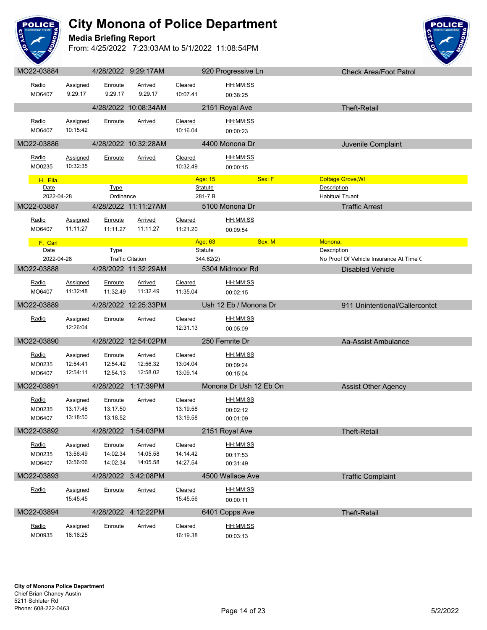

**Media Briefing Report**



|              |            |                             |                    |                         |                     |                          |        | <b>VIIVUN AIVAII VULI AIIVI</b>                 |  |
|--------------|------------|-----------------------------|--------------------|-------------------------|---------------------|--------------------------|--------|-------------------------------------------------|--|
| Radio        | MO6407     | Assigned<br>9:29:17         | Enroute<br>9:29.17 | Arrived<br>9:29.17      | Cleared<br>10:07.41 | HH:MM:SS<br>00:38:25     |        |                                                 |  |
|              |            |                             |                    | 4/28/2022 10:08:34AM    |                     | 2151 Royal Ave           |        | <b>Theft-Retail</b>                             |  |
| Radio        | MO6407     | Assigned<br>10:15:42        | Enroute            | <b>Arrived</b>          | Cleared<br>10:16.04 | HH:MM:SS<br>00:00:23     |        |                                                 |  |
| MO22-03886   |            |                             |                    | 4/28/2022 10:32:28AM    |                     | 4400 Monona Dr           |        | Juvenile Complaint                              |  |
| Radio        | MO0235     | <b>Assigned</b><br>10:32:35 | Enroute            | Arrived                 | Cleared<br>10:32.49 | HH:MM:SS<br>00:00:15     |        |                                                 |  |
|              | H, Ella    |                             |                    |                         |                     | Age: 15                  | Sex: F | <b>Cottage Grove, WI</b>                        |  |
|              | Date       |                             | <b>Type</b>        |                         |                     | <b>Statute</b>           |        | Description                                     |  |
| MO22-03887   | 2022-04-28 |                             | Ordinance          | 4/28/2022 11:11:27AM    |                     | 281-7B<br>5100 Monona Dr |        | <b>Habitual Truant</b><br><b>Traffic Arrest</b> |  |
| Radio        |            | Assigned                    | Enroute            | Arrived                 | Cleared             | HH:MM:SS                 |        |                                                 |  |
|              | MO6407     | 11:11:27                    | 11:11.27           | 11:11.27                | 11:21.20            | 00:09:54                 |        |                                                 |  |
|              | F. Carl    |                             |                    |                         |                     | Age: 63                  | Sex: M | Monona,                                         |  |
|              | Date       |                             | Type               |                         |                     | <b>Statute</b>           |        | Description                                     |  |
|              | 2022-04-28 |                             |                    | <b>Traffic Citation</b> |                     | 344.62(2)                |        | No Proof Of Vehicle Insurance At Time (         |  |
| MO22-03888   |            |                             |                    | 4/28/2022 11:32:29AM    |                     | 5304 Midmoor Rd          |        | Disabled Vehicle                                |  |
| <u>Radio</u> |            | Assigned                    | Enroute            | <b>Arrived</b>          | Cleared             | <u>HH:MM:SS</u>          |        |                                                 |  |
|              | MO6407     | 11:32:48                    |                    | 11:32.49  11:32.49      | 11:35.04            | 00:02:15                 |        |                                                 |  |
| MO22-03889   |            |                             |                    | 4/28/2022 12:25:33PM    |                     | Ush 12 Eb / Monona Dr    |        | 911 Unintentional/Callercontct                  |  |
| Radio        |            | Assigned                    | Enroute            | Arrived                 | Cleared             | HH:MM:SS                 |        |                                                 |  |
|              |            | 12:26:04                    |                    |                         | 12:31.13            | 00:05:09                 |        |                                                 |  |
| MO22-03890   |            |                             |                    | 4/28/2022 12:54:02PM    |                     | 250 Femrite Dr           |        | Aa-Assist Ambulance                             |  |
| Radio        |            | Assigned                    | Enroute            | Arrived                 | Cleared             | HH:MM:SS                 |        |                                                 |  |
|              | MO0235     | 12:54:41                    | 12:54.42           | 12:56.32                | 13:04.04            | 00:09:24                 |        |                                                 |  |
|              | MO6407     | 12:54:11                    | 12:54.13           | 12:58.02                | 13:09.14            | 00:15:04                 |        |                                                 |  |
| MO22-03891   |            |                             |                    | 4/28/2022 1:17:39PM     |                     | Monona Dr Ush 12 Eb On   |        | <b>Assist Other Agency</b>                      |  |
| Radio        |            | Assigned                    | Enroute            | Arrived                 | Cleared             | HH:MM:SS                 |        |                                                 |  |
|              | MO0235     | 13:17:46                    | 13:17.50           |                         | 13:19.58            | 00:02:12                 |        |                                                 |  |
|              | MO6407     | 13:18:50                    | 13:18.52           |                         | 13:19.58            | 00:01:09                 |        |                                                 |  |
| MO22-03892   |            |                             |                    | 4/28/2022 1:54:03PM     |                     | 2151 Royal Ave           |        | Theft-Retail                                    |  |
| Radio        |            | <b>Assigned</b>             | Enroute            | Arrived                 | Cleared             | HH:MM:SS                 |        |                                                 |  |
|              | MO0235     | 13:56:49                    | 14:02.34           | 14:05.58                | 14:14.42            | 00:17:53                 |        |                                                 |  |
|              | MO6407     | 13:56:06                    | 14:02.34           | 14:05.58                | 14:27.54            | 00:31:49                 |        |                                                 |  |
| MO22-03893   |            |                             |                    | 4/28/2022 3:42:08PM     |                     | 4500 Wallace Ave         |        | <b>Traffic Complaint</b>                        |  |
| Radio        |            | <b>Assigned</b>             | Enroute            | <b>Arrived</b>          | Cleared             | HH:MM:SS                 |        |                                                 |  |
|              |            | 15:45:45                    |                    |                         | 15:45.56            | 00:00:11                 |        |                                                 |  |
| MO22-03894   |            |                             |                    | 4/28/2022 4:12:22PM     |                     | 6401 Copps Ave           |        | <b>Theft-Retail</b>                             |  |
| Radio        |            | <b>Assigned</b>             | Enroute            | <b>Arrived</b>          | Cleared             | HH:MM:SS                 |        |                                                 |  |
|              | MO0935     | 16:16:25                    |                    |                         | 16:19.38            | 00:03:13                 |        |                                                 |  |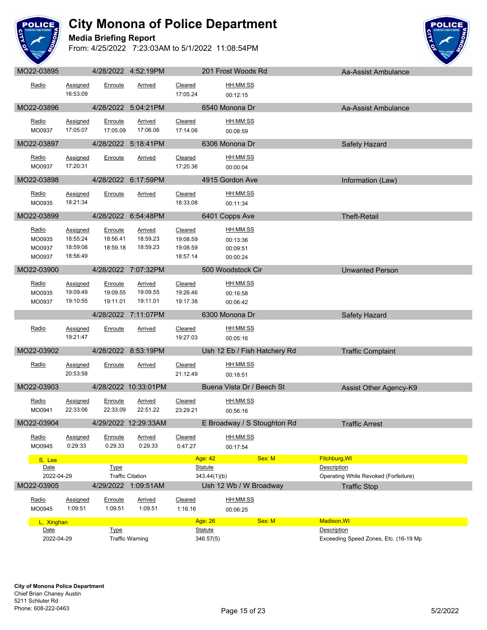

### **Media Briefing Report**



| wiuzz-ujudu                         |                                              |                                 | <b>TILUILULL T.JL. IJI IVI</b>         |                                             | <b>LUTTIUSLINUUUS INU</b>                           |        | Ad-ASSIST ATHOUIDITCE                                |  |
|-------------------------------------|----------------------------------------------|---------------------------------|----------------------------------------|---------------------------------------------|-----------------------------------------------------|--------|------------------------------------------------------|--|
| Radio                               | Assigned<br>16:53:09                         | Enroute                         | Arrived                                | Cleared<br>17:05.24                         | HH:MM:SS<br>00:12:15                                |        |                                                      |  |
| MO22-03896                          |                                              |                                 | 4/28/2022 5:04:21PM                    |                                             | 6540 Monona Dr                                      |        | Aa-Assist Ambulance                                  |  |
| Radio<br>MO0937                     | Assigned<br>17:05:07                         | Enroute<br>17:05.09             | Arrived<br>17:06.06                    | Cleared<br>17:14.06                         | HH:MM:SS<br>00:08:59                                |        |                                                      |  |
| MO22-03897                          |                                              |                                 | 4/28/2022 5:18:41PM                    |                                             | 6306 Monona Dr                                      |        | Safety Hazard                                        |  |
| <u>Radio</u><br>MO0937              | Assigned<br>17:20:31                         | Enroute                         | Arrived                                | Cleared<br>17:20.36                         | HH:MM:SS<br>00:00:04                                |        |                                                      |  |
| MO22-03898                          |                                              |                                 | 4/28/2022 6:17:59PM                    |                                             | 4915 Gordon Ave                                     |        | Information (Law)                                    |  |
| Radio<br>MO0935                     | Assigned<br>18:21:34                         | Enroute                         | Arrived                                | Cleared<br>18:33.08                         | <u>HH:MM:SS</u><br>00:11:34                         |        |                                                      |  |
| MO22-03899                          |                                              |                                 | 4/28/2022 6:54:48PM                    |                                             | 6401 Copps Ave                                      |        | <b>Theft-Retail</b>                                  |  |
| Radio<br>MO0935<br>MO0937<br>MO0937 | Assigned<br>18:55:24<br>18:59:08<br>18:56:49 | Enroute<br>18:56.41<br>18:59.18 | <b>Arrived</b><br>18:59.23<br>18:59.23 | Cleared<br>19:08.59<br>19:08.59<br>18:57.14 | <u>HH:MM:SS</u><br>00:13:36<br>00:09:51<br>00:00:24 |        |                                                      |  |
| MO22-03900                          |                                              |                                 | 4/28/2022 7:07:32PM                    |                                             | 500 Woodstock Cir                                   |        | <b>Unwanted Person</b>                               |  |
| <u>Radio</u><br>MO0935<br>MO0937    | Assigned<br>19:09:49<br>19:10:55             | Enroute<br>19:09.55<br>19:11.01 | Arrived<br>19:09.55<br>19:11.01        | Cleared<br>19:26.46<br>19:17.38             | HH:MM:SS<br>00:16:58<br>00:06:42                    |        |                                                      |  |
|                                     |                                              |                                 | 4/28/2022 7:11:07PM                    |                                             | 6300 Monona Dr                                      |        | Safety Hazard                                        |  |
| Radio                               | Assigned<br>19:21:47                         | Enroute                         | <b>Arrived</b>                         | Cleared<br>19:27.03                         | HH:MM:SS<br>00:05:16                                |        |                                                      |  |
| MO22-03902                          |                                              |                                 | 4/28/2022 8:53:19PM                    |                                             | Ush 12 Eb / Fish Hatchery Rd                        |        | <b>Traffic Complaint</b>                             |  |
| Radio                               | Assigned<br>20:53:58                         | Enroute                         | <b>Arrived</b>                         | Cleared<br>21:12.49                         | HH:MM:SS<br>00:18:51                                |        |                                                      |  |
| MO22-03903                          |                                              |                                 | 4/28/2022 10:33:01PM                   |                                             | Buena Vista Dr / Beech St                           |        | Assist Other Agency-K9                               |  |
| Radio<br>MO0941                     | Assigned<br>22:33:06                         | Enroute<br>22:33.09             | Arrived<br>22:51.22                    | Cleared<br>23:29.21                         | HH:MM:SS<br>00:56:16                                |        |                                                      |  |
| MO22-03904                          |                                              |                                 | 4/29/2022 12:29:33AM                   | <u> Anglický a</u>                          | E Broadway / S Stoughton Rd                         |        | <b>Traffic Arrest</b>                                |  |
| Radio<br>MO0945                     | <b>Assigned</b><br>0:29:33                   | Enroute<br>0:29.33              | <b>Arrived</b><br>0:29.33              | <b>Cleared</b><br>0:47.27                   | HH:MM:SS<br>00:17:54                                |        |                                                      |  |
| S, Lee                              |                                              | <b>Type</b>                     |                                        |                                             | Age: 42                                             | Sex: M | Fitchburg, WI<br>Description                         |  |
| Date<br>2022-04-29                  |                                              |                                 | <b>Traffic Citation</b>                |                                             | <b>Statute</b><br>343.44(1)(b)                      |        | Operating While Revoked (Forfeiture)                 |  |
| MO22-03905                          |                                              |                                 | 4/29/2022 1:09:51AM                    |                                             | Ush 12 Wb / W Broadway                              |        | <b>Traffic Stop</b>                                  |  |
| Radio<br>MO0945                     | <b>Assigned</b><br>1:09:51                   | Enroute<br>1:09.51              | <b>Arrived</b><br>1:09.51              | Cleared<br>1:16.16                          | HH:MM:SS<br>00:06:25                                |        |                                                      |  |
| L, Xinghan                          |                                              |                                 |                                        |                                             | Age: 26                                             | Sex: M | <b>Madison, WI</b>                                   |  |
| Date<br>2022-04-29                  |                                              | <b>Type</b>                     | <b>Traffic Warning</b>                 |                                             | <b>Statute</b><br>346.57(5)                         |        | Description<br>Exceeding Speed Zones, Etc. (16-19 Mp |  |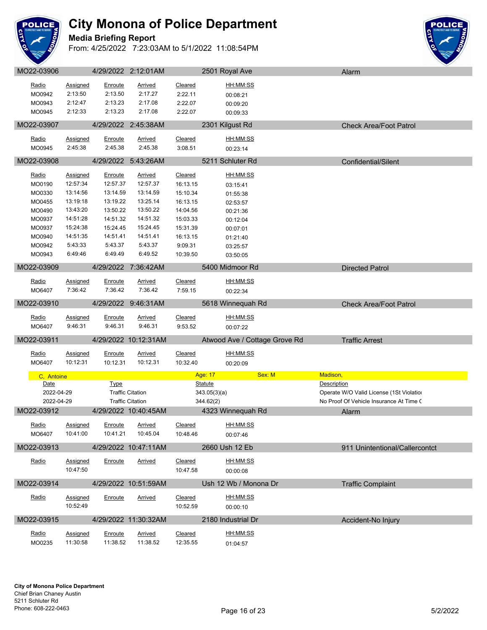

#### **Media Briefing Report**



| Radio<br>MO0942  | <b>Assigned</b><br>2:13:50 | Enroute<br>2:13.50 | <b>Arrived</b><br>2:17.27 | <b>Cleared</b><br>2:22.11 | HH:MM:SS<br>00:08:21          |                                          |
|------------------|----------------------------|--------------------|---------------------------|---------------------------|-------------------------------|------------------------------------------|
| MO0943<br>MO0945 | 2:12:47<br>2:12:33         | 2:13.23<br>2:13.23 | 2:17.08<br>2:17.08        | 2:22.07<br>2:22.07        | 00:09:20<br>00:09:33          |                                          |
| MO22-03907       |                            |                    | 4/29/2022 2:45:38AM       |                           | 2301 Kilgust Rd               | <b>Check Area/Foot Patrol</b>            |
| Radio            | <b>Assigned</b>            | <b>Enroute</b>     | <b>Arrived</b>            | Cleared                   | HH:MM:SS                      |                                          |
| MO0945           | 2:45:38                    | 2:45.38            | 2:45.38                   | 3:08.51                   | 00:23:14                      |                                          |
| MO22-03908       |                            |                    | 4/29/2022 5:43:26AM       |                           | 5211 Schluter Rd              | Confidential/Silent                      |
| Radio            | Assigned                   | Enroute            | <b>Arrived</b>            | Cleared                   | HH:MM:SS                      |                                          |
| MO0190           | 12:57:34                   | 12:57.37           | 12:57.37                  | 16:13.15                  | 03:15:41                      |                                          |
| MO0330           | 13:14:56                   | 13:14.59           | 13:14.59                  | 15:10.34                  | 01:55:38                      |                                          |
| MO0455           | 13:19:18                   | 13:19.22           | 13:25.14                  | 16:13.15                  | 02:53:57                      |                                          |
| MO0490           | 13:43:20                   | 13:50.22           | 13:50.22                  | 14:04.56                  | 00:21:36                      |                                          |
| MO0937           | 14:51:28                   | 14:51.32           | 14:51.32                  | 15:03.33                  | 00:12:04                      |                                          |
| MO0937           | 15:24:38                   | 15:24.45           | 15:24.45                  | 15:31.39                  | 00:07:01                      |                                          |
| MO0940           | 14:51:35                   | 14:51.41           | 14:51.41                  | 16:13.15                  | 01:21:40                      |                                          |
| MO0942           | 5:43:33                    | 5:43.37            | 5:43.37                   | 9:09.31                   | 03:25:57                      |                                          |
| MO0943           | 6:49:46                    | 6:49.49            | 6:49.52                   | 10:39.50                  | 03:50:05                      |                                          |
|                  |                            |                    |                           |                           |                               |                                          |
| MO22-03909       |                            |                    | 4/29/2022 7:36:42AM       |                           | 5400 Midmoor Rd               | <b>Directed Patrol</b>                   |
| Radio            | <b>Assigned</b>            | Enroute            | Arrived                   | Cleared                   | <u>HH:MM:SS</u>               |                                          |
| MO6407           | 7:36:42                    | 7:36.42            | 7:36.42                   | 7:59.15                   | 00:22:34                      |                                          |
| MO22-03910       |                            |                    | 4/29/2022 9:46:31AM       |                           | 5618 Winnequah Rd             | <b>Check Area/Foot Patrol</b>            |
| Radio            |                            |                    |                           |                           | HH:MM:SS                      |                                          |
|                  | Assigned                   | Enroute            | <b>Arrived</b>            | Cleared                   |                               |                                          |
| MO6407           | 9:46:31                    | 9:46.31            | 9:46.31                   | 9:53.52                   | 00:07:22                      |                                          |
| MO22-03911       |                            |                    | 4/29/2022 10:12:31AM      |                           | Atwood Ave / Cottage Grove Rd | <b>Traffic Arrest</b>                    |
| Radio            | <b>Assigned</b>            | Enroute            | <b>Arrived</b>            | Cleared                   | HH:MM:SS                      |                                          |
| MO6407           | 10:12:31                   | 10:12.31           | 10:12.31                  | 10:32.40                  | 00:20:09                      |                                          |
|                  |                            |                    |                           |                           |                               |                                          |
| C, Antoine       |                            |                    |                           |                           | Sex: M<br>Age: 17             | Madison,                                 |
| Date             |                            | <b>Type</b>        |                           |                           | <b>Statute</b>                | Description                              |
| 2022-04-29       |                            |                    | <b>Traffic Citation</b>   |                           | 343.05(3)(a)                  | Operate W/O Valid License (1St Violatior |
| 2022-04-29       |                            |                    | <b>Traffic Citation</b>   |                           | 344.62(2)                     | No Proof Of Vehicle Insurance At Time C  |
| MO22-03912       |                            |                    | 4/29/2022 10:40:45AM      |                           | 4323 Winnequah Rd             | Alarm                                    |
| Radio            | <b>Assigned</b>            | <u>Enroute</u>     | <b>Arrived</b>            | <b>Cleared</b>            | HH:MM:SS                      |                                          |
| MO6407           | 10:41:00                   | 10:41.21           | 10:45.04                  | 10:48.46                  | 00:07:46                      |                                          |
| MO22-03913       |                            |                    | 4/29/2022 10:47:11AM      |                           | 2660 Ush 12 Eb                | 911 Unintentional/Callercontct           |
|                  |                            |                    |                           |                           |                               |                                          |
| Radio            | Assigned                   | Enroute            | <b>Arrived</b>            | Cleared                   | HH:MM:SS                      |                                          |
|                  | 10:47:50                   |                    |                           | 10:47.58                  | 00:00:08                      |                                          |
| MO22-03914       |                            |                    | 4/29/2022 10:51:59AM      |                           | Ush 12 Wb / Monona Dr         | <b>Traffic Complaint</b>                 |
| Radio            | Assigned                   | Enroute            | <b>Arrived</b>            | Cleared                   | <u>HH:MM:SS</u>               |                                          |
|                  | 10:52:49                   |                    |                           | 10:52.59                  |                               |                                          |
|                  |                            |                    |                           |                           | 00:00:10                      |                                          |
| MO22-03915       |                            |                    | 4/29/2022 11:30:32AM      |                           | 2180 Industrial Dr            | Accident-No Injury                       |
| Radio            | Assigned                   | Enroute            | Arrived                   | Cleared                   | HH:MM:SS                      |                                          |
| MO0235           | 11:30:58                   | 11:38.52           | 11:38.52                  | 12:35.55                  | 01:04:57                      |                                          |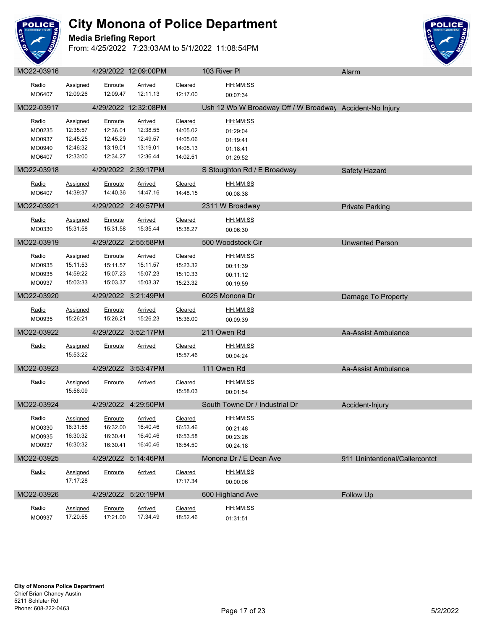

### **Media Briefing Report**



| <u>Radio</u> | <b>Assigned</b> | Enroute   | <b>Arrived</b>       | Cleared        | HH:MM:SS                                                 |                                |
|--------------|-----------------|-----------|----------------------|----------------|----------------------------------------------------------|--------------------------------|
| MO6407       | 12:09:26        | 12:09.47  | 12:11.13             | 12:17.00       | 00:07:34                                                 |                                |
|              |                 |           |                      |                |                                                          |                                |
| MO22-03917   |                 |           | 4/29/2022 12:32:08PM |                | Ush 12 Wb W Broadway Off / W Broadway Accident-No Injury |                                |
| <u>Radio</u> | <b>Assigned</b> | Enroute   | <b>Arrived</b>       | Cleared        | HH:MM:SS                                                 |                                |
| MO0235       | 12:35:57        | 12:36.01  | 12:38.55             | 14:05.02       | 01:29:04                                                 |                                |
| MO0937       | 12:45:25        | 12:45.29  | 12:49.57             | 14:05.06       | 01:19:41                                                 |                                |
| MO0940       | 12:46:32        | 13:19.01  | 13:19.01             | 14:05.13       | 01:18:41                                                 |                                |
| MO6407       | 12:33:00        | 12:34.27  | 12:36.44             | 14:02.51       | 01:29:52                                                 |                                |
| MO22-03918   |                 |           | 4/29/2022 2:39:17PM  |                | S Stoughton Rd / E Broadway                              | Safety Hazard                  |
| Radio        | Assigned        | Enroute   | Arrived              | Cleared        | HH:MM:SS                                                 |                                |
| MO6407       | 14:39:37        | 14:40.36  | 14:47.16             | 14:48.15       | 00:08:38                                                 |                                |
| MO22-03921   |                 |           | 4/29/2022 2:49:57PM  |                | 2311 W Broadway                                          | <b>Private Parking</b>         |
|              |                 |           |                      |                |                                                          |                                |
| Radio        | Assigned        | Enroute   | Arrived              | Cleared        | HH:MM:SS                                                 |                                |
| MO0330       | 15:31:58        | 15:31.58  | 15:35.44             | 15:38.27       | 00:06:30                                                 |                                |
| MO22-03919   |                 |           | 4/29/2022 2:55:58PM  |                | 500 Woodstock Cir                                        | <b>Unwanted Person</b>         |
| <u>Radio</u> | <b>Assigned</b> | Enroute   | <b>Arrived</b>       | Cleared        | HH:MM:SS                                                 |                                |
| MO0935       | 15:11:53        | 15:11.57  | 15:11.57             | 15:23.32       | 00:11:39                                                 |                                |
| MO0935       | 14:59:22        | 15:07.23  | 15:07.23             | 15:10.33       | 00:11:12                                                 |                                |
| MO0937       | 15:03:33        | 15:03.37  | 15:03.37             | 15:23.32       | 00:19:59                                                 |                                |
|              |                 |           |                      |                |                                                          |                                |
| MO22-03920   |                 |           | 4/29/2022 3:21:49PM  |                | 6025 Monona Dr                                           | Damage To Property             |
| <u>Radio</u> | <b>Assigned</b> | Enroute   | <b>Arrived</b>       | <b>Cleared</b> | HH:MM:SS                                                 |                                |
| MO0935       | 15:26:21        | 15:26.21  | 15:26.23             | 15:36.00       | 00:09:39                                                 |                                |
| MO22-03922   |                 |           | 4/29/2022 3:52:17PM  |                | 211 Owen Rd                                              | Aa-Assist Ambulance            |
|              |                 |           |                      |                |                                                          |                                |
| Radio        | Assigned        | Enroute   | Arrived              | Cleared        | HH:MM:SS                                                 |                                |
|              | 15:53:22        |           |                      | 15:57.46       | 00:04:24                                                 |                                |
| MO22-03923   |                 | 4/29/2022 | 3:53:47PM            |                | 111 Owen Rd                                              | Aa-Assist Ambulance            |
| Radio        | Assigned        | Enroute   | Arrived              | Cleared        | HH:MM:SS                                                 |                                |
|              | 15:56:09        |           |                      | 15:58.03       | 00:01:54                                                 |                                |
|              |                 |           |                      |                |                                                          |                                |
| MO22-03924   |                 |           | 4/29/2022 4:29:50PM  |                | South Towne Dr / Industrial Dr                           | Accident-Injury                |
| <u>Radio</u> | <b>Assigned</b> | Enroute   | <b>Arrived</b>       | Cleared        | HH:MM:SS                                                 |                                |
| MO0330       | 16:31:58        | 16:32.00  | 16:40.46             | 16:53.46       | 00:21:48                                                 |                                |
| MO0935       | 16:30:32        | 16:30.41  | 16:40.46             | 16:53.58       | 00:23:26                                                 |                                |
| MO0937       | 16:30:32        | 16:30.41  | 16:40.46             | 16:54.50       | 00:24:18                                                 |                                |
| MO22-03925   |                 |           | 4/29/2022 5:14:46PM  |                | Monona Dr / E Dean Ave                                   | 911 Unintentional/Callercontct |
| <u>Radio</u> | <b>Assigned</b> | Enroute   | <b>Arrived</b>       | Cleared        | HH:MM:SS                                                 |                                |
|              | 17:17:28        |           |                      | 17:17.34       | 00:00:06                                                 |                                |
|              |                 |           |                      |                |                                                          |                                |
| MO22-03926   |                 | 4/29/2022 | 5:20:19PM            |                | 600 Highland Ave                                         | <b>Follow Up</b>               |
| Radio        | Assigned        | Enroute   | <b>Arrived</b>       | Cleared        | HH:MM:SS                                                 |                                |
| MO0937       | 17:20:55        | 17:21.00  | 17:34.49             | 18:52.46       | 01:31:51                                                 |                                |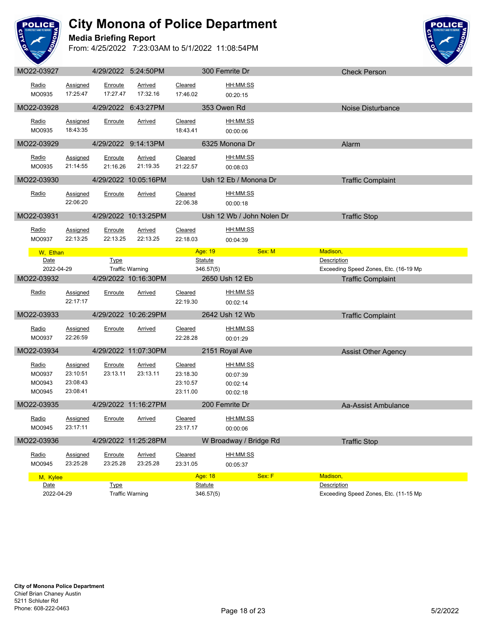

#### **Media Briefing Report**



|            |                      |             | HIZUIZUZZ 0.ZH.OUT IVI |          | <b>JULIE DI</b>           |        | CHECK PEISON                          |  |
|------------|----------------------|-------------|------------------------|----------|---------------------------|--------|---------------------------------------|--|
| Radio      | Assigned             | Enroute     | Arrived                | Cleared  | <u>HH:MM:SS</u>           |        |                                       |  |
| MO0935     | 17:25:47             | 17:27.47    | 17:32.16               | 17:46.02 | 00:20:15                  |        |                                       |  |
|            |                      |             |                        |          |                           |        |                                       |  |
| MO22-03928 |                      |             | 4/29/2022 6:43:27PM    |          | 353 Owen Rd               |        | Noise Disturbance                     |  |
| Radio      | Assigned             | Enroute     | <b>Arrived</b>         | Cleared  | HH:MM:SS                  |        |                                       |  |
| MO0935     | 18:43:35             |             |                        | 18:43.41 | 00:00:06                  |        |                                       |  |
| MO22-03929 | <u>e de la pro</u>   |             | 4/29/2022 9:14:13PM    |          | 6325 Monona Dr            |        | Alarm                                 |  |
|            |                      |             |                        |          |                           |        |                                       |  |
| Radio      | Assigned             | Enroute     | Arrived                | Cleared  | HH:MM:SS                  |        |                                       |  |
| MO0935     | 21:14:55             | 21:16.26    | 21:19.35               | 21:22.57 | 00:08:03                  |        |                                       |  |
| MO22-03930 |                      |             | 4/29/2022 10:05:16PM   |          | Ush 12 Eb / Monona Dr     |        | <b>Traffic Complaint</b>              |  |
| Radio      | Assigned             | Enroute     | Arrived                | Cleared  | <u>HH:MM:SS</u>           |        |                                       |  |
|            | 22:06:20             |             |                        | 22:06.38 | 00:00:18                  |        |                                       |  |
|            |                      |             |                        |          |                           |        |                                       |  |
| MO22-03931 |                      |             | 4/29/2022 10:13:25PM   |          | Ush 12 Wb / John Nolen Dr |        | <b>Traffic Stop</b>                   |  |
| Radio      | <b>Assigned</b>      | Enroute     | Arrived                | Cleared  | HH:MM:SS                  |        |                                       |  |
| MO0937     | 22:13:25             | 22:13.25    | 22:13.25               | 22:18.03 | 00:04:39                  |        |                                       |  |
| W, Ethan   |                      |             |                        |          | Age: 19                   | Sex: M | Madison,                              |  |
| Date       |                      | Type        |                        |          | <b>Statute</b>            |        | Description                           |  |
| 2022-04-29 |                      |             | <b>Traffic Warning</b> |          | 346.57(5)                 |        | Exceeding Speed Zones, Etc. (16-19 Mp |  |
| MO22-03932 |                      |             | 4/29/2022 10:16:30PM   |          | 2650 Ush 12 Eb            |        | <b>Traffic Complaint</b>              |  |
|            |                      |             |                        |          |                           |        |                                       |  |
|            |                      |             |                        |          |                           |        |                                       |  |
| Radio      | <b>Assigned</b>      | Enroute     | Arrived                | Cleared  | HH:MM:SS                  |        |                                       |  |
|            | 22:17:17             |             |                        | 22:19.30 | 00:02:14                  |        |                                       |  |
| MO22-03933 |                      |             | 4/29/2022 10:26:29PM   |          | 2642 Ush 12 Wb            |        | <b>Traffic Complaint</b>              |  |
| Radio      | <b>Assigned</b>      | Enroute     | <b>Arrived</b>         | Cleared  | HH:MM:SS                  |        |                                       |  |
| MO0937     | 22:26:59             |             |                        | 22:28.28 | 00:01:29                  |        |                                       |  |
|            |                      |             |                        |          |                           |        |                                       |  |
| MO22-03934 |                      |             | 4/29/2022 11:07:30PM   |          | 2151 Royal Ave            |        | <b>Assist Other Agency</b>            |  |
| Radio      | Assigned             | Enroute     | Arrived                | Cleared  | HH:MM:SS                  |        |                                       |  |
| MO0937     | 23:10:51             | 23:13.11    | 23:13.11               | 23:18.30 | 00:07:39                  |        |                                       |  |
| MO0943     | 23:08:43             |             |                        | 23:10.57 | 00:02:14                  |        |                                       |  |
| MO0945     | 23:08:41             |             |                        | 23:11.00 | 00:02:18                  |        |                                       |  |
| MO22-03935 |                      |             | 4/29/2022 11:16:27PM   |          | 200 Femrite Dr            |        | Aa-Assist Ambulance                   |  |
| Radio      |                      |             |                        |          | HH:MM:SS                  |        |                                       |  |
| MO0945     | Assigned<br>23:17:11 | Enroute     | Arrived                | Cleared  |                           |        |                                       |  |
|            |                      |             |                        | 23:17.17 | 00:00:06                  |        |                                       |  |
| MO22-03936 |                      |             | 4/29/2022 11:25:28PM   |          | W Broadway / Bridge Rd    |        | <b>Traffic Stop</b>                   |  |
| Radio      | Assigned             | Enroute     | <b>Arrived</b>         | Cleared  | HH:MM:SS                  |        |                                       |  |
| MO0945     | 23:25:28             | 23:25.28    | 23:25.28               | 23:31.05 | 00:05:37                  |        |                                       |  |
| M, Kylee   |                      |             |                        |          | Age: 18                   | Sex: F | Madison,                              |  |
| Date       |                      | <b>Type</b> |                        |          | <b>Statute</b>            |        | Description                           |  |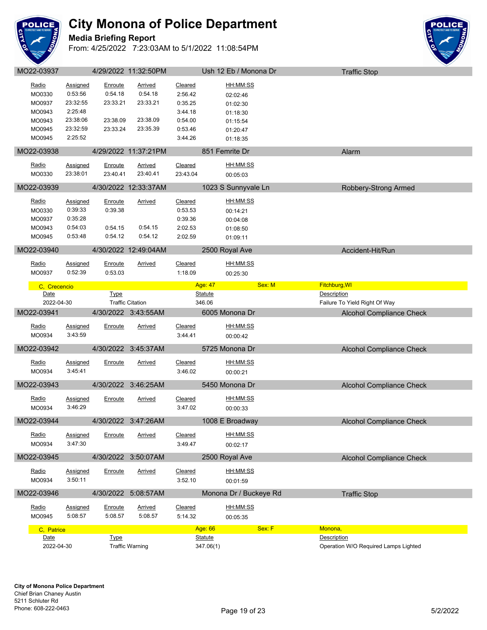

### **Media Briefing Report**



| Radio              | <b>Assigned</b>     | Enroute     | Arrived                 | Cleared  | HH:MM:SS                  |                                         |  |
|--------------------|---------------------|-------------|-------------------------|----------|---------------------------|-----------------------------------------|--|
| MO0330             | 0:53:56             | 0:54.18     | 0:54.18                 | 2:56.42  | 02:02:46                  |                                         |  |
| MO0937             | 23:32:55            | 23:33.21    | 23:33.21                | 0:35.25  | 01:02:30                  |                                         |  |
| MO0943             | 2:25:48             |             |                         | 3:44.18  | 01:18:30                  |                                         |  |
| MO0943             | 23:38:06            | 23:38.09    | 23:38.09                | 0:54.00  | 01:15:54                  |                                         |  |
| MO0945             | 23:32:59            | 23:33.24    | 23:35.39                | 0:53.46  | 01:20:47                  |                                         |  |
| MO0945             | 2:25:52             |             |                         | 3:44.26  | 01:18:35                  |                                         |  |
| MO22-03938         |                     |             | 4/29/2022 11:37:21PM    |          | 851 Femrite Dr            | Alarm                                   |  |
|                    |                     |             |                         |          |                           |                                         |  |
| Radio              | <b>Assigned</b>     | Enroute     | <b>Arrived</b>          | Cleared  | HH:MM:SS                  |                                         |  |
| MO0330             | 23:38:01            | 23:40.41    | 23:40.41                | 23:43.04 | 00:05:03                  |                                         |  |
| MO22-03939         |                     |             | 4/30/2022 12:33:37AM    |          | 1023 S Sunnyvale Ln       | Robbery-Strong Armed                    |  |
|                    |                     |             |                         |          |                           |                                         |  |
| Radio              | <b>Assigned</b>     | Enroute     | <b>Arrived</b>          | Cleared  | <u>HH:MM:SS</u>           |                                         |  |
| MO0330             | 0:39:33             | 0:39.38     |                         | 0:53.53  | 00:14:21                  |                                         |  |
| MO0937             | 0:35:28             |             |                         | 0:39.36  | 00:04:08                  |                                         |  |
| MO0943             | 0:54:03             | 0:54.15     | 0:54.15                 | 2:02.53  | 01:08:50                  |                                         |  |
| MO0945             | 0:53:48             | 0:54.12     | 0:54.12                 | 2:02.59  | 01:09:11                  |                                         |  |
| MO22-03940         |                     |             | 4/30/2022 12:49:04AM    |          | 2500 Royal Ave            | Accident-Hit/Run                        |  |
| Radio              | Assigned            | Enroute     | <u>Arrived</u>          | Cleared  | HH:MM:SS                  |                                         |  |
| MO0937             | 0:52:39             | 0:53.03     |                         | 1:18.09  | 00:25:30                  |                                         |  |
|                    |                     |             |                         |          |                           |                                         |  |
| C. Crecencio       |                     |             |                         |          | Age: 47                   | Fitchburg, WI<br>Sex: M                 |  |
| Date               |                     | <b>Type</b> |                         |          | <b>Statute</b>            | Description                             |  |
| 2022-04-30         |                     |             | <b>Traffic Citation</b> |          | 346.06                    | Failure To Yield Right Of Way           |  |
|                    |                     |             |                         |          |                           |                                         |  |
| MO22-03941         |                     |             | 4/30/2022 3:43:55AM     |          | 6005 Monona Dr            | <b>Alcohol Compliance Check</b>         |  |
| Radio              | <b>Assigned</b>     | Enroute     | <b>Arrived</b>          | Cleared  | HH:MM:SS                  |                                         |  |
| MO0934             | 3:43:59             |             |                         | 3:44.41  | 00:00:42                  |                                         |  |
|                    |                     |             |                         |          |                           |                                         |  |
| MO22-03942         |                     |             | 4/30/2022 3:45:37AM     |          | 5725 Monona Dr            | <b>Alcohol Compliance Check</b>         |  |
| Radio              | Assigned            | Enroute     | Arrived                 | Cleared  | HH:MM:SS                  |                                         |  |
| MO0934             | 3:45:41             |             |                         | 3:46.02  | 00:00:21                  |                                         |  |
|                    |                     |             |                         |          |                           |                                         |  |
| MO22-03943         |                     |             | 4/30/2022 3:46:25AM     |          | 5450 Monona Dr            | <b>Alcohol Compliance Check</b>         |  |
| Radio              | Assigned            | Enroute     | Arrived                 | Cleared  | HH:MM:SS                  |                                         |  |
| MO0934             | 3:46:29             |             |                         | 3:47.02  | 00:00:33                  |                                         |  |
| MO22-03944         |                     | 4/30/2022   | 3:47:26AM               |          | 1008 E Broadway           | <b>Alcohol Compliance Check</b>         |  |
|                    |                     |             |                         |          |                           |                                         |  |
| Radio              | <b>Assigned</b>     | Enroute     | <b>Arrived</b>          | Cleared  | HH:MM:SS                  |                                         |  |
| MO0934             | 3:47:30             |             |                         | 3:49.47  | 00:02:17                  |                                         |  |
| MO22-03945         |                     | 4/30/2022   | 3:50:07AM               |          | 2500 Royal Ave            | <b>Alcohol Compliance Check</b>         |  |
|                    |                     |             |                         |          |                           |                                         |  |
| Radio              | Assigned<br>3:50:11 | Enroute     | <b>Arrived</b>          | Cleared  | HH:MM:SS                  |                                         |  |
| MO0934             |                     |             |                         | 3:52.10  | 00:01:59                  |                                         |  |
| MO22-03946         |                     | 4/30/2022   | 5:08:57AM               |          | Monona Dr / Buckeye Rd    | <b>Traffic Stop</b>                     |  |
| Radio              | Assigned            | Enroute     | <b>Arrived</b>          | Cleared  | HH:MM:SS                  |                                         |  |
| MO0945             | 5:08:57             | 5:08.57     | 5:08.57                 | 5:14.32  | 00:05:35                  |                                         |  |
|                    |                     |             |                         |          |                           |                                         |  |
| C, Patrice<br>Date |                     | <b>Type</b> |                         |          | Age: 66<br><b>Statute</b> | Sex: F<br>Monona,<br><b>Description</b> |  |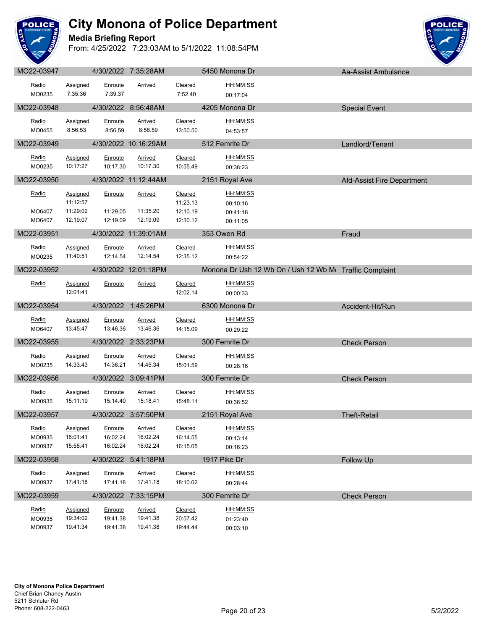

#### **Media Briefing Report**



| MO22-03948<br>4205 Monona Dr<br>4/30/2022 8:56:48AM<br><b>Special Event</b><br>HH:MM:SS<br>Radio<br>Enroute<br><b>Arrived</b><br>Cleared<br><b>Assigned</b><br>8:56:53<br>8:56.59<br>8:56.59<br>13:50.50<br>MO0455<br>04:53:57<br>MO22-03949<br>4/30/2022 10:16:29AM<br>512 Femrite Dr<br>Landlord/Tenant<br><u>and the state</u><br>HH:MM:SS<br>Radio<br>Assigned<br>Enroute<br><b>Arrived</b><br>Cleared<br>10:17:27<br>10:17.30<br>10:17.30<br>MO0235<br>10:55.49<br>00:38:23<br>MO22-03950<br>4/30/2022 11:12:44AM<br>2151 Royal Ave<br>Afd-Assist Fire Department<br>Assigned<br>Cleared<br>HH:MM:SS<br><u>Radio</u><br>Enroute<br><b>Arrived</b><br>11:12:57<br>11:23.13<br>00:10:16<br>11:29:02<br>11:29.05<br>11:35.20<br>MO6407<br>12:10.19<br>00:41:18<br>12:19:07<br>12:19.09<br>12:19.09<br>MO6407<br>12:30.12<br>00:11:05<br>MO22-03951<br>353 Owen Rd<br>4/30/2022 11:39:01AM<br>Fraud<br>Radio<br><b>Assigned</b><br>Enroute<br>Arrived<br>Cleared<br>HH:MM:SS<br>MO0235<br>11:40:51<br>12:14.54<br>12:14.54<br>12:35.12<br>00:54:22<br>MO22-03952<br>4/30/2022 12:01:18PM<br>Monona Dr Ush 12 Wb On / Ush 12 Wb M Traffic Complaint<br>HH:MM:SS<br>Radio<br>Cleared<br><b>Assigned</b><br>Enroute<br><b>Arrived</b><br>12:01:41<br>12:02.14<br>00:00:33<br>MO22-03954<br>4/30/2022 1:45:26PM<br>6300 Monona Dr<br>Accident-Hit/Run<br><u>a sa san</u><br>HH:MM:SS<br>Radio<br>Assigned<br><b>Arrived</b><br>Cleared<br>Enroute<br>13:45:47<br>13:46.36<br>13:46.36<br>MO6407<br>14:15.09<br>00:29:22<br>MO22-03955<br>4/30/2022 2:33:23PM<br>300 Femrite Dr<br><b>Check Person</b><br>HH:MM:SS<br>Radio<br>Arrived<br>Cleared<br><b>Assigned</b><br>Enroute<br>MO0235<br>14:33:43<br>14:36.21<br>14:45.34<br>15:01.59<br>00:28:16<br>MO22-03956<br>4/30/2022 3:09:41PM<br>300 Femrite Dr<br><b>Check Person</b><br>HH:MM:SS<br>Radio<br>Cleared<br><b>Assigned</b><br>Enroute<br><u>Arrived</u><br>15:11:19<br>15:18.41<br>MO0935<br>15:14.40<br>15:48.11<br>00:36:52<br>MO22-03957<br>4/30/2022 3:57:50PM<br>2151 Royal Ave<br><b>Theft-Retail</b><br>HH:MM:SS<br>Radio<br>Cleared<br>Assigned<br>Enroute<br>Arrived<br>MO0935<br>16:01:41<br>16:02.24<br>16:02.24<br>16:14.55<br>00:13:14<br>MO0937<br>15:58:41<br>16:02.24<br>16:02.24<br>16:15.05<br>00:16:23<br>MO22-03958<br>4/30/2022 5:41:18PM<br>1917 Pike Dr<br>Follow Up<br>HH:MM:SS<br>Radio<br><b>Arrived</b><br>Cleared<br><b>Assigned</b><br>Enroute<br>17:41:18<br>17:41.18<br>18:10.02<br>MO0937<br>17:41.18<br>00:28:44<br>MO22-03959<br>4/30/2022<br>7:33:15PM<br>300 Femrite Dr<br><b>Check Person</b> | Radio<br>MO0235 | <b>Assigned</b><br>7:35:36 | Enroute<br>7:39.37 | <u>Arrived</u> | Cleared<br>7:52.40 | HH:MM:SS<br>00:17:04 |  |
|--------------------------------------------------------------------------------------------------------------------------------------------------------------------------------------------------------------------------------------------------------------------------------------------------------------------------------------------------------------------------------------------------------------------------------------------------------------------------------------------------------------------------------------------------------------------------------------------------------------------------------------------------------------------------------------------------------------------------------------------------------------------------------------------------------------------------------------------------------------------------------------------------------------------------------------------------------------------------------------------------------------------------------------------------------------------------------------------------------------------------------------------------------------------------------------------------------------------------------------------------------------------------------------------------------------------------------------------------------------------------------------------------------------------------------------------------------------------------------------------------------------------------------------------------------------------------------------------------------------------------------------------------------------------------------------------------------------------------------------------------------------------------------------------------------------------------------------------------------------------------------------------------------------------------------------------------------------------------------------------------------------------------------------------------------------------------------------------------------------------------------------------------------------------------------------------------------------------------------------------------------------------------------------------------------------------------------------------------------------------------------------------------------------------------------------------------------------------------------------------------------------------------------------------------------------------------------------------|-----------------|----------------------------|--------------------|----------------|--------------------|----------------------|--|
|                                                                                                                                                                                                                                                                                                                                                                                                                                                                                                                                                                                                                                                                                                                                                                                                                                                                                                                                                                                                                                                                                                                                                                                                                                                                                                                                                                                                                                                                                                                                                                                                                                                                                                                                                                                                                                                                                                                                                                                                                                                                                                                                                                                                                                                                                                                                                                                                                                                                                                                                                                                            |                 |                            |                    |                |                    |                      |  |
|                                                                                                                                                                                                                                                                                                                                                                                                                                                                                                                                                                                                                                                                                                                                                                                                                                                                                                                                                                                                                                                                                                                                                                                                                                                                                                                                                                                                                                                                                                                                                                                                                                                                                                                                                                                                                                                                                                                                                                                                                                                                                                                                                                                                                                                                                                                                                                                                                                                                                                                                                                                            |                 |                            |                    |                |                    |                      |  |
|                                                                                                                                                                                                                                                                                                                                                                                                                                                                                                                                                                                                                                                                                                                                                                                                                                                                                                                                                                                                                                                                                                                                                                                                                                                                                                                                                                                                                                                                                                                                                                                                                                                                                                                                                                                                                                                                                                                                                                                                                                                                                                                                                                                                                                                                                                                                                                                                                                                                                                                                                                                            |                 |                            |                    |                |                    |                      |  |
|                                                                                                                                                                                                                                                                                                                                                                                                                                                                                                                                                                                                                                                                                                                                                                                                                                                                                                                                                                                                                                                                                                                                                                                                                                                                                                                                                                                                                                                                                                                                                                                                                                                                                                                                                                                                                                                                                                                                                                                                                                                                                                                                                                                                                                                                                                                                                                                                                                                                                                                                                                                            |                 |                            |                    |                |                    |                      |  |
|                                                                                                                                                                                                                                                                                                                                                                                                                                                                                                                                                                                                                                                                                                                                                                                                                                                                                                                                                                                                                                                                                                                                                                                                                                                                                                                                                                                                                                                                                                                                                                                                                                                                                                                                                                                                                                                                                                                                                                                                                                                                                                                                                                                                                                                                                                                                                                                                                                                                                                                                                                                            |                 |                            |                    |                |                    |                      |  |
|                                                                                                                                                                                                                                                                                                                                                                                                                                                                                                                                                                                                                                                                                                                                                                                                                                                                                                                                                                                                                                                                                                                                                                                                                                                                                                                                                                                                                                                                                                                                                                                                                                                                                                                                                                                                                                                                                                                                                                                                                                                                                                                                                                                                                                                                                                                                                                                                                                                                                                                                                                                            |                 |                            |                    |                |                    |                      |  |
|                                                                                                                                                                                                                                                                                                                                                                                                                                                                                                                                                                                                                                                                                                                                                                                                                                                                                                                                                                                                                                                                                                                                                                                                                                                                                                                                                                                                                                                                                                                                                                                                                                                                                                                                                                                                                                                                                                                                                                                                                                                                                                                                                                                                                                                                                                                                                                                                                                                                                                                                                                                            |                 |                            |                    |                |                    |                      |  |
|                                                                                                                                                                                                                                                                                                                                                                                                                                                                                                                                                                                                                                                                                                                                                                                                                                                                                                                                                                                                                                                                                                                                                                                                                                                                                                                                                                                                                                                                                                                                                                                                                                                                                                                                                                                                                                                                                                                                                                                                                                                                                                                                                                                                                                                                                                                                                                                                                                                                                                                                                                                            |                 |                            |                    |                |                    |                      |  |
|                                                                                                                                                                                                                                                                                                                                                                                                                                                                                                                                                                                                                                                                                                                                                                                                                                                                                                                                                                                                                                                                                                                                                                                                                                                                                                                                                                                                                                                                                                                                                                                                                                                                                                                                                                                                                                                                                                                                                                                                                                                                                                                                                                                                                                                                                                                                                                                                                                                                                                                                                                                            |                 |                            |                    |                |                    |                      |  |
|                                                                                                                                                                                                                                                                                                                                                                                                                                                                                                                                                                                                                                                                                                                                                                                                                                                                                                                                                                                                                                                                                                                                                                                                                                                                                                                                                                                                                                                                                                                                                                                                                                                                                                                                                                                                                                                                                                                                                                                                                                                                                                                                                                                                                                                                                                                                                                                                                                                                                                                                                                                            |                 |                            |                    |                |                    |                      |  |
|                                                                                                                                                                                                                                                                                                                                                                                                                                                                                                                                                                                                                                                                                                                                                                                                                                                                                                                                                                                                                                                                                                                                                                                                                                                                                                                                                                                                                                                                                                                                                                                                                                                                                                                                                                                                                                                                                                                                                                                                                                                                                                                                                                                                                                                                                                                                                                                                                                                                                                                                                                                            |                 |                            |                    |                |                    |                      |  |
|                                                                                                                                                                                                                                                                                                                                                                                                                                                                                                                                                                                                                                                                                                                                                                                                                                                                                                                                                                                                                                                                                                                                                                                                                                                                                                                                                                                                                                                                                                                                                                                                                                                                                                                                                                                                                                                                                                                                                                                                                                                                                                                                                                                                                                                                                                                                                                                                                                                                                                                                                                                            |                 |                            |                    |                |                    |                      |  |
|                                                                                                                                                                                                                                                                                                                                                                                                                                                                                                                                                                                                                                                                                                                                                                                                                                                                                                                                                                                                                                                                                                                                                                                                                                                                                                                                                                                                                                                                                                                                                                                                                                                                                                                                                                                                                                                                                                                                                                                                                                                                                                                                                                                                                                                                                                                                                                                                                                                                                                                                                                                            |                 |                            |                    |                |                    |                      |  |
|                                                                                                                                                                                                                                                                                                                                                                                                                                                                                                                                                                                                                                                                                                                                                                                                                                                                                                                                                                                                                                                                                                                                                                                                                                                                                                                                                                                                                                                                                                                                                                                                                                                                                                                                                                                                                                                                                                                                                                                                                                                                                                                                                                                                                                                                                                                                                                                                                                                                                                                                                                                            |                 |                            |                    |                |                    |                      |  |
|                                                                                                                                                                                                                                                                                                                                                                                                                                                                                                                                                                                                                                                                                                                                                                                                                                                                                                                                                                                                                                                                                                                                                                                                                                                                                                                                                                                                                                                                                                                                                                                                                                                                                                                                                                                                                                                                                                                                                                                                                                                                                                                                                                                                                                                                                                                                                                                                                                                                                                                                                                                            |                 |                            |                    |                |                    |                      |  |
|                                                                                                                                                                                                                                                                                                                                                                                                                                                                                                                                                                                                                                                                                                                                                                                                                                                                                                                                                                                                                                                                                                                                                                                                                                                                                                                                                                                                                                                                                                                                                                                                                                                                                                                                                                                                                                                                                                                                                                                                                                                                                                                                                                                                                                                                                                                                                                                                                                                                                                                                                                                            |                 |                            |                    |                |                    |                      |  |
|                                                                                                                                                                                                                                                                                                                                                                                                                                                                                                                                                                                                                                                                                                                                                                                                                                                                                                                                                                                                                                                                                                                                                                                                                                                                                                                                                                                                                                                                                                                                                                                                                                                                                                                                                                                                                                                                                                                                                                                                                                                                                                                                                                                                                                                                                                                                                                                                                                                                                                                                                                                            |                 |                            |                    |                |                    |                      |  |
|                                                                                                                                                                                                                                                                                                                                                                                                                                                                                                                                                                                                                                                                                                                                                                                                                                                                                                                                                                                                                                                                                                                                                                                                                                                                                                                                                                                                                                                                                                                                                                                                                                                                                                                                                                                                                                                                                                                                                                                                                                                                                                                                                                                                                                                                                                                                                                                                                                                                                                                                                                                            |                 |                            |                    |                |                    |                      |  |
|                                                                                                                                                                                                                                                                                                                                                                                                                                                                                                                                                                                                                                                                                                                                                                                                                                                                                                                                                                                                                                                                                                                                                                                                                                                                                                                                                                                                                                                                                                                                                                                                                                                                                                                                                                                                                                                                                                                                                                                                                                                                                                                                                                                                                                                                                                                                                                                                                                                                                                                                                                                            |                 |                            |                    |                |                    |                      |  |
|                                                                                                                                                                                                                                                                                                                                                                                                                                                                                                                                                                                                                                                                                                                                                                                                                                                                                                                                                                                                                                                                                                                                                                                                                                                                                                                                                                                                                                                                                                                                                                                                                                                                                                                                                                                                                                                                                                                                                                                                                                                                                                                                                                                                                                                                                                                                                                                                                                                                                                                                                                                            |                 |                            |                    |                |                    |                      |  |
|                                                                                                                                                                                                                                                                                                                                                                                                                                                                                                                                                                                                                                                                                                                                                                                                                                                                                                                                                                                                                                                                                                                                                                                                                                                                                                                                                                                                                                                                                                                                                                                                                                                                                                                                                                                                                                                                                                                                                                                                                                                                                                                                                                                                                                                                                                                                                                                                                                                                                                                                                                                            |                 |                            |                    |                |                    |                      |  |
|                                                                                                                                                                                                                                                                                                                                                                                                                                                                                                                                                                                                                                                                                                                                                                                                                                                                                                                                                                                                                                                                                                                                                                                                                                                                                                                                                                                                                                                                                                                                                                                                                                                                                                                                                                                                                                                                                                                                                                                                                                                                                                                                                                                                                                                                                                                                                                                                                                                                                                                                                                                            |                 |                            |                    |                |                    |                      |  |
|                                                                                                                                                                                                                                                                                                                                                                                                                                                                                                                                                                                                                                                                                                                                                                                                                                                                                                                                                                                                                                                                                                                                                                                                                                                                                                                                                                                                                                                                                                                                                                                                                                                                                                                                                                                                                                                                                                                                                                                                                                                                                                                                                                                                                                                                                                                                                                                                                                                                                                                                                                                            |                 |                            |                    |                |                    |                      |  |
|                                                                                                                                                                                                                                                                                                                                                                                                                                                                                                                                                                                                                                                                                                                                                                                                                                                                                                                                                                                                                                                                                                                                                                                                                                                                                                                                                                                                                                                                                                                                                                                                                                                                                                                                                                                                                                                                                                                                                                                                                                                                                                                                                                                                                                                                                                                                                                                                                                                                                                                                                                                            |                 |                            |                    |                |                    |                      |  |
|                                                                                                                                                                                                                                                                                                                                                                                                                                                                                                                                                                                                                                                                                                                                                                                                                                                                                                                                                                                                                                                                                                                                                                                                                                                                                                                                                                                                                                                                                                                                                                                                                                                                                                                                                                                                                                                                                                                                                                                                                                                                                                                                                                                                                                                                                                                                                                                                                                                                                                                                                                                            |                 |                            |                    |                |                    |                      |  |
|                                                                                                                                                                                                                                                                                                                                                                                                                                                                                                                                                                                                                                                                                                                                                                                                                                                                                                                                                                                                                                                                                                                                                                                                                                                                                                                                                                                                                                                                                                                                                                                                                                                                                                                                                                                                                                                                                                                                                                                                                                                                                                                                                                                                                                                                                                                                                                                                                                                                                                                                                                                            |                 |                            |                    |                |                    |                      |  |
|                                                                                                                                                                                                                                                                                                                                                                                                                                                                                                                                                                                                                                                                                                                                                                                                                                                                                                                                                                                                                                                                                                                                                                                                                                                                                                                                                                                                                                                                                                                                                                                                                                                                                                                                                                                                                                                                                                                                                                                                                                                                                                                                                                                                                                                                                                                                                                                                                                                                                                                                                                                            |                 |                            |                    |                |                    |                      |  |
|                                                                                                                                                                                                                                                                                                                                                                                                                                                                                                                                                                                                                                                                                                                                                                                                                                                                                                                                                                                                                                                                                                                                                                                                                                                                                                                                                                                                                                                                                                                                                                                                                                                                                                                                                                                                                                                                                                                                                                                                                                                                                                                                                                                                                                                                                                                                                                                                                                                                                                                                                                                            |                 |                            |                    |                |                    |                      |  |
|                                                                                                                                                                                                                                                                                                                                                                                                                                                                                                                                                                                                                                                                                                                                                                                                                                                                                                                                                                                                                                                                                                                                                                                                                                                                                                                                                                                                                                                                                                                                                                                                                                                                                                                                                                                                                                                                                                                                                                                                                                                                                                                                                                                                                                                                                                                                                                                                                                                                                                                                                                                            |                 |                            |                    |                |                    |                      |  |
|                                                                                                                                                                                                                                                                                                                                                                                                                                                                                                                                                                                                                                                                                                                                                                                                                                                                                                                                                                                                                                                                                                                                                                                                                                                                                                                                                                                                                                                                                                                                                                                                                                                                                                                                                                                                                                                                                                                                                                                                                                                                                                                                                                                                                                                                                                                                                                                                                                                                                                                                                                                            |                 |                            |                    |                |                    |                      |  |
|                                                                                                                                                                                                                                                                                                                                                                                                                                                                                                                                                                                                                                                                                                                                                                                                                                                                                                                                                                                                                                                                                                                                                                                                                                                                                                                                                                                                                                                                                                                                                                                                                                                                                                                                                                                                                                                                                                                                                                                                                                                                                                                                                                                                                                                                                                                                                                                                                                                                                                                                                                                            |                 |                            |                    |                |                    |                      |  |
|                                                                                                                                                                                                                                                                                                                                                                                                                                                                                                                                                                                                                                                                                                                                                                                                                                                                                                                                                                                                                                                                                                                                                                                                                                                                                                                                                                                                                                                                                                                                                                                                                                                                                                                                                                                                                                                                                                                                                                                                                                                                                                                                                                                                                                                                                                                                                                                                                                                                                                                                                                                            |                 |                            |                    |                |                    |                      |  |
|                                                                                                                                                                                                                                                                                                                                                                                                                                                                                                                                                                                                                                                                                                                                                                                                                                                                                                                                                                                                                                                                                                                                                                                                                                                                                                                                                                                                                                                                                                                                                                                                                                                                                                                                                                                                                                                                                                                                                                                                                                                                                                                                                                                                                                                                                                                                                                                                                                                                                                                                                                                            |                 |                            |                    |                |                    |                      |  |
|                                                                                                                                                                                                                                                                                                                                                                                                                                                                                                                                                                                                                                                                                                                                                                                                                                                                                                                                                                                                                                                                                                                                                                                                                                                                                                                                                                                                                                                                                                                                                                                                                                                                                                                                                                                                                                                                                                                                                                                                                                                                                                                                                                                                                                                                                                                                                                                                                                                                                                                                                                                            |                 |                            |                    |                |                    |                      |  |
|                                                                                                                                                                                                                                                                                                                                                                                                                                                                                                                                                                                                                                                                                                                                                                                                                                                                                                                                                                                                                                                                                                                                                                                                                                                                                                                                                                                                                                                                                                                                                                                                                                                                                                                                                                                                                                                                                                                                                                                                                                                                                                                                                                                                                                                                                                                                                                                                                                                                                                                                                                                            |                 |                            |                    |                |                    |                      |  |
|                                                                                                                                                                                                                                                                                                                                                                                                                                                                                                                                                                                                                                                                                                                                                                                                                                                                                                                                                                                                                                                                                                                                                                                                                                                                                                                                                                                                                                                                                                                                                                                                                                                                                                                                                                                                                                                                                                                                                                                                                                                                                                                                                                                                                                                                                                                                                                                                                                                                                                                                                                                            |                 |                            |                    |                |                    |                      |  |
|                                                                                                                                                                                                                                                                                                                                                                                                                                                                                                                                                                                                                                                                                                                                                                                                                                                                                                                                                                                                                                                                                                                                                                                                                                                                                                                                                                                                                                                                                                                                                                                                                                                                                                                                                                                                                                                                                                                                                                                                                                                                                                                                                                                                                                                                                                                                                                                                                                                                                                                                                                                            |                 |                            |                    |                |                    |                      |  |
|                                                                                                                                                                                                                                                                                                                                                                                                                                                                                                                                                                                                                                                                                                                                                                                                                                                                                                                                                                                                                                                                                                                                                                                                                                                                                                                                                                                                                                                                                                                                                                                                                                                                                                                                                                                                                                                                                                                                                                                                                                                                                                                                                                                                                                                                                                                                                                                                                                                                                                                                                                                            |                 |                            |                    |                |                    |                      |  |
| Radio<br><u>HH:MM:SS</u><br>Assigned                                                                                                                                                                                                                                                                                                                                                                                                                                                                                                                                                                                                                                                                                                                                                                                                                                                                                                                                                                                                                                                                                                                                                                                                                                                                                                                                                                                                                                                                                                                                                                                                                                                                                                                                                                                                                                                                                                                                                                                                                                                                                                                                                                                                                                                                                                                                                                                                                                                                                                                                                       |                 |                            |                    |                |                    |                      |  |
| Cleared<br>Enroute<br><b>Arrived</b><br>19:34:02<br>19:41.38<br>19:41.38<br>MO0935<br>20:57.42                                                                                                                                                                                                                                                                                                                                                                                                                                                                                                                                                                                                                                                                                                                                                                                                                                                                                                                                                                                                                                                                                                                                                                                                                                                                                                                                                                                                                                                                                                                                                                                                                                                                                                                                                                                                                                                                                                                                                                                                                                                                                                                                                                                                                                                                                                                                                                                                                                                                                             |                 |                            |                    |                |                    |                      |  |
| 01:23:40<br>19:41:34<br>MO0937<br>19:41.38<br>19:41.38<br>19:44.44<br>00:03:10                                                                                                                                                                                                                                                                                                                                                                                                                                                                                                                                                                                                                                                                                                                                                                                                                                                                                                                                                                                                                                                                                                                                                                                                                                                                                                                                                                                                                                                                                                                                                                                                                                                                                                                                                                                                                                                                                                                                                                                                                                                                                                                                                                                                                                                                                                                                                                                                                                                                                                             |                 |                            |                    |                |                    |                      |  |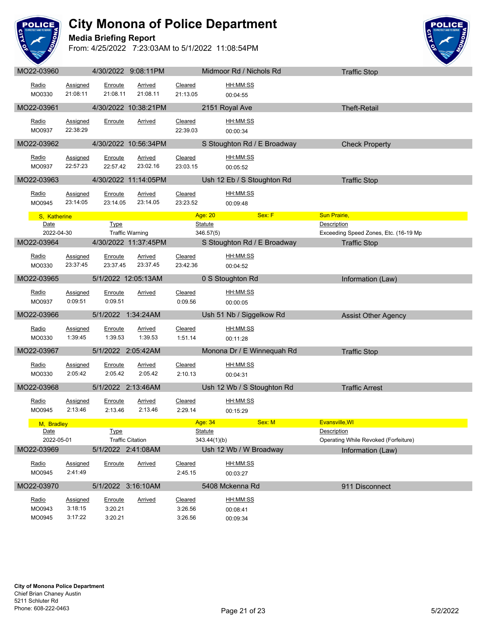

### **Media Briefing Report**



| MO22-03960           |                    |                    | 4/30/2022 9:08:11PM     |                    |                | Midmoor Rd / Nichols Rd                                  |                    | <b>Traffic Stop</b>                   |  |
|----------------------|--------------------|--------------------|-------------------------|--------------------|----------------|----------------------------------------------------------|--------------------|---------------------------------------|--|
| Radio                | Assigned           | Enroute            | Arrived                 | Cleared            |                | HH:MM:SS                                                 |                    |                                       |  |
| MO0330               | 21:08:11           | 21:08.11           | 21:08.11                | 21:13.05           |                | 00:04:55                                                 |                    |                                       |  |
|                      |                    |                    |                         |                    |                |                                                          |                    |                                       |  |
| MO22-03961           |                    |                    | 4/30/2022 10:38:21PM    |                    |                | 2151 Royal Ave                                           |                    | <b>Theft-Retail</b>                   |  |
| Radio                | Assigned           | Enroute            | <b>Arrived</b>          | Cleared            |                | HH:MM:SS                                                 |                    |                                       |  |
| MO0937               | 22:38:29           |                    |                         | 22:39.03           |                | 00:00:34                                                 |                    |                                       |  |
| MO22-03962           |                    |                    | 4/30/2022 10:56:34PM    |                    |                | S Stoughton Rd / E Broadway                              |                    | <b>Check Property</b>                 |  |
|                      |                    |                    |                         |                    |                |                                                          |                    |                                       |  |
| Radio                | Assigned           | Enroute            | <b>Arrived</b>          | Cleared            |                | HH:MM:SS                                                 |                    |                                       |  |
| MO0937               | 22:57:23           | 22:57.42           | 23:02.16                | 23:03.15           |                | 00:05:52                                                 |                    |                                       |  |
| MO22-03963           |                    |                    | 4/30/2022 11:14:05PM    |                    |                | Ush 12 Eb / S Stoughton Rd                               |                    | <b>Traffic Stop</b>                   |  |
| Radio                | Assigned           | Enroute            | Arrived                 | Cleared            |                | HH:MM:SS                                                 |                    |                                       |  |
| MO0945               | 23:14:05           | 23:14.05           | 23:14.05                | 23:23.52           |                | 00:09:48                                                 |                    |                                       |  |
|                      |                    |                    |                         |                    |                | Sex: F<br>Age: 20 <b>Age: 20</b> Age: 20 Age: 20 Age: 20 | Sun Prairie,       |                                       |  |
| S, Katherine<br>Date |                    | <b>Type</b>        |                         |                    | <b>Statute</b> |                                                          | <b>Description</b> |                                       |  |
| 2022-04-30           |                    |                    | <b>Traffic Warning</b>  |                    | 346.57(5)      |                                                          |                    | Exceeding Speed Zones, Etc. (16-19 Mp |  |
| MO22-03964           |                    |                    | 4/30/2022 11:37:45PM    |                    |                | S Stoughton Rd / E Broadway                              |                    | <b>Traffic Stop</b>                   |  |
|                      |                    |                    |                         |                    |                |                                                          |                    |                                       |  |
| Radio                | Assigned           | Enroute            | Arrived                 | Cleared            |                | HH:MM:SS                                                 |                    |                                       |  |
| MO0330               | 23:37:45           | 23:37.45           | 23:37.45                | 23:42.36           |                | 00:04:52                                                 |                    |                                       |  |
| MO22-03965           |                    |                    | 5/1/2022 12:05:13AM     |                    |                | 0 S Stoughton Rd                                         |                    | Information (Law)                     |  |
| Radio                | Assigned           | Enroute            | Arrived                 | Cleared            |                | HH:MM:SS                                                 |                    |                                       |  |
| MO0937               | 0:09:51            | 0:09.51            |                         | 0:09.56            |                | 00:00:05                                                 |                    |                                       |  |
| MO22-03966           |                    | 5/1/2022 1:34:24AM |                         |                    |                | Ush 51 Nb / Siggelkow Rd                                 |                    | <b>Assist Other Agency</b>            |  |
|                      |                    |                    |                         |                    |                |                                                          |                    |                                       |  |
| Radio                | <b>Assigned</b>    | Enroute            | <b>Arrived</b>          | Cleared            |                | HH:MM:SS                                                 |                    |                                       |  |
| MO0330               | 1:39:45            | 1:39.53            | 1:39.53                 | 1:51.14            |                | 00:11:28                                                 |                    |                                       |  |
| MO22-03967           |                    | 5/1/2022 2:05:42AM |                         |                    |                | Monona Dr / E Winnequah Rd                               |                    | <b>Traffic Stop</b>                   |  |
| Radio                | <b>Assigned</b>    | Enroute            | <b>Arrived</b>          | Cleared            |                | HH:MM:SS                                                 |                    |                                       |  |
| MO0330               | 2:05:42            | 2:05.42            | 2:05.42                 | 2:10.13            |                | 00:04:31                                                 |                    |                                       |  |
|                      |                    |                    |                         |                    |                |                                                          |                    |                                       |  |
| MO22-03968           |                    | 5/1/2022 2:13:46AM |                         |                    |                | Ush 12 Wb / S Stoughton Rd                               |                    | <b>Traffic Arrest</b>                 |  |
| Radio                | Assigned           | Enroute            | Arrived                 | Cleared            |                | HH:MM:SS                                                 |                    |                                       |  |
| MO0945               | 2:13:46            | 2:13.46            | 2:13.46                 | 2:29.14            |                | 00:15:29                                                 |                    |                                       |  |
| M. Bradlev           |                    |                    |                         |                    | Age: 34        | Sex: M                                                   | Evansville, WI     |                                       |  |
| Date                 |                    | <b>Type</b>        |                         |                    | <b>Statute</b> |                                                          | <b>Description</b> |                                       |  |
| 2022-05-01           |                    |                    | <b>Traffic Citation</b> |                    | 343.44(1)(b)   |                                                          |                    | Operating While Revoked (Forfeiture)  |  |
| MO22-03969           |                    | 5/1/2022 2:41:08AM |                         |                    |                | Ush 12 Wb / W Broadway                                   |                    | Information (Law)                     |  |
| Radio                | <b>Assigned</b>    | Enroute            | <b>Arrived</b>          | Cleared            |                | HH:MM:SS                                                 |                    |                                       |  |
| MO0945               | 2:41:49            |                    |                         | 2:45.15            |                | 00:03:27                                                 |                    |                                       |  |
| MO22-03970           |                    |                    | 5/1/2022 3:16:10AM      |                    |                | 5408 Mckenna Rd                                          |                    | 911 Disconnect                        |  |
|                      |                    |                    |                         |                    |                |                                                          |                    |                                       |  |
| Radio                | <b>Assigned</b>    | <u>Enroute</u>     | <u>Arrived</u>          | <b>Cleared</b>     |                | HH:MM:SS                                                 |                    |                                       |  |
| MO0943               | 3:18:15<br>3:17:22 | 3:20.21<br>3:20.21 |                         | 3:26.56<br>3:26.56 |                | 00:08:41                                                 |                    |                                       |  |
| MO0945               |                    |                    |                         |                    |                | 00:09:34                                                 |                    |                                       |  |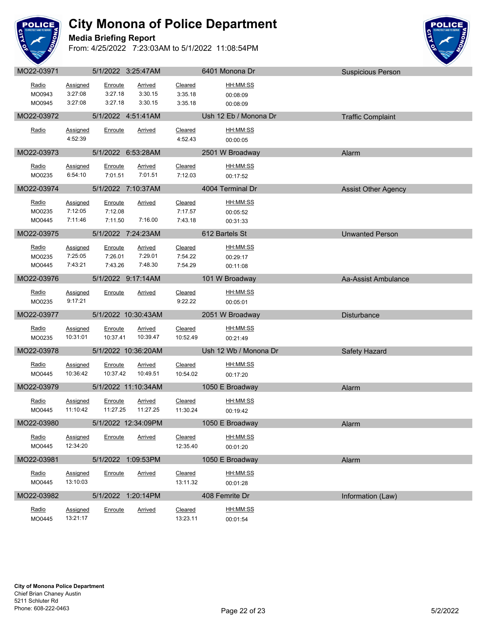

#### **Media Briefing Report**



| Radio            | Assigned                    | Enroute             | <b>Arrived</b>             | Cleared             | <u>HH:MM:SS</u>       |                            |
|------------------|-----------------------------|---------------------|----------------------------|---------------------|-----------------------|----------------------------|
| MO0943<br>MO0945 | 3:27:08<br>3:27:08          | 3:27.18<br>3:27.18  | 3:30.15<br>3:30.15         | 3:35.18<br>3:35.18  | 00:08:09<br>00:08:09  |                            |
| MO22-03972       |                             |                     | 5/1/2022 4:51:41AM         |                     | Ush 12 Eb / Monona Dr |                            |
|                  |                             |                     |                            |                     |                       | <b>Traffic Complaint</b>   |
| Radio            | Assigned                    | Enroute             | Arrived                    | Cleared             | HH:MM:SS              |                            |
|                  | 4:52:39                     |                     |                            | 4:52.43             | 00:00:05              |                            |
| MO22-03973       |                             |                     | 5/1/2022 6:53:28AM         |                     | 2501 W Broadway       | Alarm                      |
| Radio            | Assigned                    | Enroute             | <b>Arrived</b>             | Cleared             | HH:MM:SS              |                            |
| MO0235           | 6:54:10                     | 7:01.51             | 7:01.51                    | 7:12.03             | 00:17:52              |                            |
| MO22-03974       |                             |                     | 5/1/2022 7:10:37AM         |                     | 4004 Terminal Dr      | <b>Assist Other Agency</b> |
| Radio            | <b>Assigned</b>             | Enroute             | <b>Arrived</b>             | Cleared             | HH:MM:SS              |                            |
| MO0235           | 7:12:05                     | 7:12.08             |                            | 7:17.57             | 00:05:52              |                            |
| MO0445           | 7:11:46                     | 7:11.50             | 7:16.00                    | 7:43.18             | 00:31:33              |                            |
| MO22-03975       |                             |                     | 5/1/2022 7:24:23AM         |                     | 612 Bartels St        | <b>Unwanted Person</b>     |
| Radio            | Assigned                    | Enroute             | <b>Arrived</b>             | Cleared             | HH:MM:SS              |                            |
| MO0235           | 7:25:05                     | 7:26.01             | 7:29.01                    | 7:54.22             | 00:29:17              |                            |
| MO0445           | 7:43:21                     | 7:43.26             | 7:48.30                    | 7:54.29             | 00:11:08              |                            |
| MO22-03976       |                             |                     | 5/1/2022 9:17:14AM         |                     | 101 W Broadway        | Aa-Assist Ambulance        |
| Radio            | Assigned                    | Enroute             | <b>Arrived</b>             | Cleared             | HH:MM:SS              |                            |
| MO0235           | 9:17:21                     |                     |                            | 9:22.22             | 00:05:01              |                            |
|                  |                             |                     |                            |                     |                       |                            |
| MO22-03977       |                             |                     | 5/1/2022 10:30:43AM        |                     | 2051 W Broadway       | Disturbance                |
| Radio            | Assigned                    | Enroute             | <b>Arrived</b>             | Cleared             | HH:MM:SS              |                            |
| MO0235           | 10:31:01                    | 10:37.41            | 10:39.47                   | 10:52.49            | 00:21:49              |                            |
| MO22-03978       |                             |                     | 5/1/2022 10:36:20AM        |                     | Ush 12 Wb / Monona Dr | Safety Hazard              |
|                  |                             |                     |                            |                     |                       |                            |
| Radio<br>MO0445  | <b>Assigned</b><br>10:36:42 | Enroute<br>10:37.42 | <b>Arrived</b><br>10:49.51 | Cleared<br>10:54.02 | HH:MM:SS<br>00:17:20  |                            |
|                  |                             |                     |                            |                     |                       |                            |
| MO22-03979       |                             |                     | 5/1/2022 11:10:34AM        |                     | 1050 E Broadway       | Alarm                      |
| Radio            | Assigned                    | Enroute             | Arrived                    | Cleared             | HH:MM:SS              |                            |
| MO0445           | 11:10:42                    | 11:27.25            | 11:27.25                   | 11:30.24            | 00:19:42              |                            |
| MO22-03980       |                             |                     | 5/1/2022 12:34:09PM        |                     | 1050 E Broadway       | Alarm                      |
| <u>Radio</u>     | <b>Assigned</b>             | Enroute             | <u>Arrived</u>             | <b>Cleared</b>      | HH:MM:SS              |                            |
| MO0445           | 12:34:20                    |                     |                            | 12:35.40            | 00:01:20              |                            |
| MO22-03981       |                             |                     | 5/1/2022 1:09:53PM         |                     | 1050 E Broadway       | Alarm                      |
| Radio            | <b>Assigned</b>             | Enroute             | <b>Arrived</b>             | Cleared             | HH:MM:SS              |                            |
| MO0445           | 13:10:03                    |                     |                            | 13:11.32            | 00:01:28              |                            |
| MO22-03982       |                             |                     | 5/1/2022 1:20:14PM         |                     | 408 Femrite Dr        | Information (Law)          |
| Radio            | Assigned                    | Enroute             | <b>Arrived</b>             | <b>Cleared</b>      | HH:MM:SS              |                            |